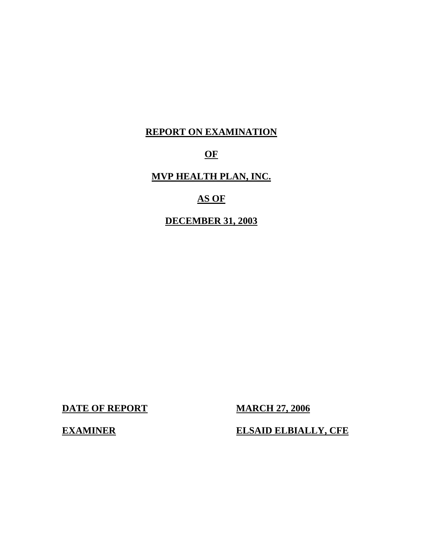# **REPORT ON EXAMINATION**

## **OF**

# **MVP HEALTH PLAN, INC.**

# **AS OF**

### **DECEMBER 31, 2003**

**DATE OF REPORT MARCH 27, 2006** 

**EXAMINER ELSAID ELBIALLY, CFE**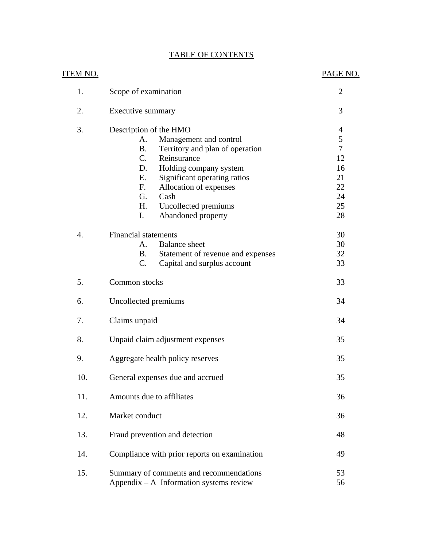|--|

| <u>ITEM NO.</u> |                                                                                                                                                                                                                                                                                                                    | PAGE NO.                                                                                    |
|-----------------|--------------------------------------------------------------------------------------------------------------------------------------------------------------------------------------------------------------------------------------------------------------------------------------------------------------------|---------------------------------------------------------------------------------------------|
| 1.              | Scope of examination                                                                                                                                                                                                                                                                                               | $\overline{2}$                                                                              |
| 2.              | Executive summary                                                                                                                                                                                                                                                                                                  | 3                                                                                           |
| 3.              | Description of the HMO<br>Management and control<br>A.<br><b>B.</b><br>Territory and plan of operation<br>$C_{\cdot}$<br>Reinsurance<br>Holding company system<br>D.<br>Significant operating ratios<br>Е.<br>Allocation of expenses<br>F.<br>G.<br>Cash<br>H.<br>Uncollected premiums<br>I.<br>Abandoned property | $\overline{4}$<br>$\mathfrak s$<br>$\overline{7}$<br>12<br>16<br>21<br>22<br>24<br>25<br>28 |
| 4.              | <b>Financial statements</b><br><b>Balance</b> sheet<br>A.<br>Statement of revenue and expenses<br><b>B</b> .<br>C.<br>Capital and surplus account                                                                                                                                                                  | 30<br>30<br>32<br>33                                                                        |
| 5.              | Common stocks                                                                                                                                                                                                                                                                                                      | 33                                                                                          |
| 6.              | Uncollected premiums                                                                                                                                                                                                                                                                                               | 34                                                                                          |
| 7.              | Claims unpaid                                                                                                                                                                                                                                                                                                      | 34                                                                                          |
| 8.              | Unpaid claim adjustment expenses                                                                                                                                                                                                                                                                                   | 35                                                                                          |
| 9.              | Aggregate health policy reserves                                                                                                                                                                                                                                                                                   | 35                                                                                          |
| 10.             | General expenses due and accrued                                                                                                                                                                                                                                                                                   | 35                                                                                          |
| 11.             | Amounts due to affiliates                                                                                                                                                                                                                                                                                          | 36                                                                                          |
| 12.             | Market conduct                                                                                                                                                                                                                                                                                                     | 36                                                                                          |
| 13.             | Fraud prevention and detection                                                                                                                                                                                                                                                                                     | 48                                                                                          |
| 14.             | Compliance with prior reports on examination                                                                                                                                                                                                                                                                       | 49                                                                                          |
| 15.             | Summary of comments and recommendations<br>Appendix $- A$ Information systems review                                                                                                                                                                                                                               | 53<br>56                                                                                    |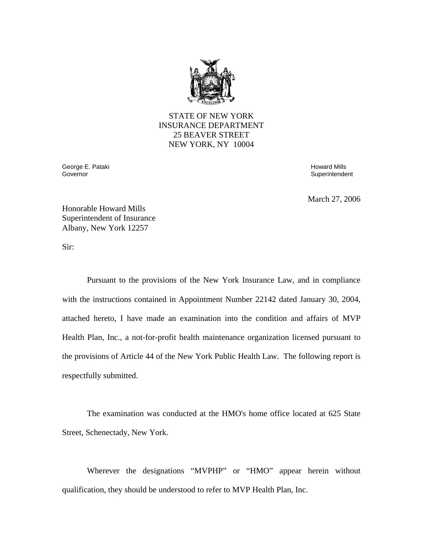

STATE OF NEW YORK INSURANCE DEPARTMENT 25 BEAVER STREET NEW YORK, NY 10004

George E. Pataki Nashrida ay isang panahang panahang panahang akan at pangangang matatagpak at panahang panaha<br>Governor

Superintendent

March 27, 2006

Honorable Howard Mills Superintendent of Insurance Albany, New York 12257

Sir:

Pursuant to the provisions of the New York Insurance Law, and in compliance with the instructions contained in Appointment Number 22142 dated January 30, 2004, attached hereto, I have made an examination into the condition and affairs of MVP Health Plan, Inc., a not-for-profit health maintenance organization licensed pursuant to the provisions of Article 44 of the New York Public Health Law. The following report is respectfully submitted.

The examination was conducted at the HMO's home office located at 625 State Street, Schenectady, New York.

Wherever the designations "MVPHP" or "HMO" appear herein without qualification, they should be understood to refer to MVP Health Plan, Inc.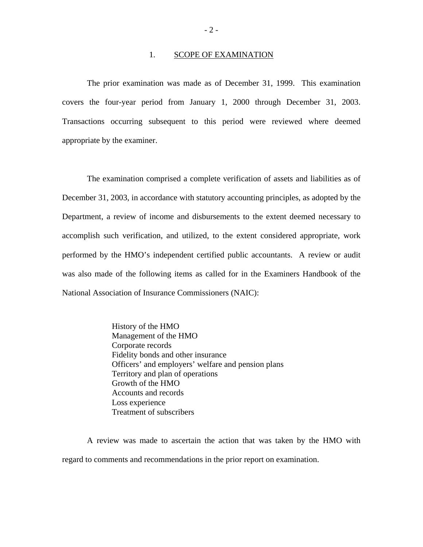#### 1. SCOPE OF EXAMINATION

covers the four-year period from January 1, 2000 through December 31, 2003. The prior examination was made as of December 31, 1999. This examination Transactions occurring subsequent to this period were reviewed where deemed appropriate by the examiner.

The examination comprised a complete verification of assets and liabilities as of December 31, 2003, in accordance with statutory accounting principles, as adopted by the Department, a review of income and disbursements to the extent deemed necessary to accomplish such verification, and utilized, to the extent considered appropriate, work performed by the HMO's independent certified public accountants. A review or audit was also made of the following items as called for in the Examiners Handbook of the National Association of Insurance Commissioners (NAIC):

> History of the HMO Management of the HMO Corporate records Fidelity bonds and other insurance Officers' and employers' welfare and pension plans Territory and plan of operations Growth of the HMO Accounts and records Loss experience Treatment of subscribers

A review was made to ascertain the action that was taken by the HMO with regard to comments and recommendations in the prior report on examination.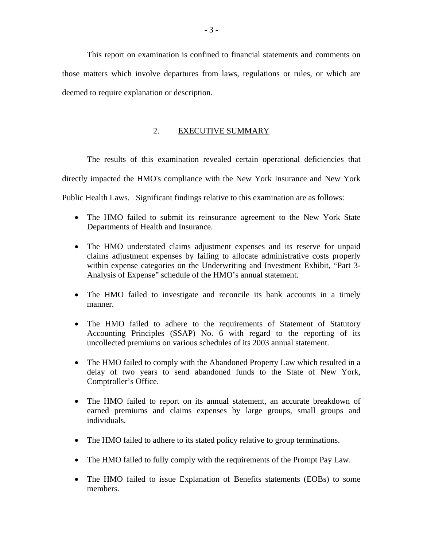This report on examination is confined to financial statements and comments on those matters which involve departures from laws, regulations or rules, or which are deemed to require explanation or description.

### 2. EXECUTIVE SUMMARY

The results of this examination revealed certain operational deficiencies that directly impacted the HMO's compliance with the New York Insurance and New York Public Health Laws. Significant findings relative to this examination are as follows:

- The HMO failed to submit its reinsurance agreement to the New York State Departments of Health and Insurance.
- The HMO understated claims adjustment expenses and its reserve for unpaid claims adjustment expenses by failing to allocate administrative costs properly within expense categories on the Underwriting and Investment Exhibit, "Part 3- Analysis of Expense" schedule of the HMO's annual statement.
- The HMO failed to investigate and reconcile its bank accounts in a timely manner.
- The HMO failed to adhere to the requirements of Statement of Statutory Accounting Principles (SSAP) No. 6 with regard to the reporting of its uncollected premiums on various schedules of its 2003 annual statement.
- The HMO failed to comply with the Abandoned Property Law which resulted in a delay of two years to send abandoned funds to the State of New York, Comptroller's Office.
- The HMO failed to report on its annual statement, an accurate breakdown of earned premiums and claims expenses by large groups, small groups and individuals.
- The HMO failed to adhere to its stated policy relative to group terminations.
- The HMO failed to fully comply with the requirements of the Prompt Pay Law.
- The HMO failed to issue Explanation of Benefits statements (EOBs) to some members.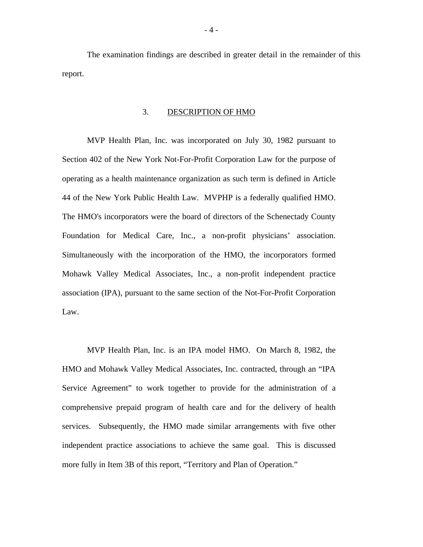The examination findings are described in greater detail in the remainder of this report.

#### 3. DESCRIPTION OF HMO

MVP Health Plan, Inc. was incorporated on July 30, 1982 pursuant to Section 402 of the New York Not-For-Profit Corporation Law for the purpose of operating as a health maintenance organization as such term is defined in Article 44 of the New York Public Health Law. MVPHP is a federally qualified HMO. The HMO's incorporators were the board of directors of the Schenectady County Foundation for Medical Care, Inc., a non-profit physicians' association. Simultaneously with the incorporation of the HMO, the incorporators formed Mohawk Valley Medical Associates, Inc., a non-profit independent practice association (IPA), pursuant to the same section of the Not-For-Profit Corporation Law.

MVP Health Plan, Inc. is an IPA model HMO. On March 8, 1982, the HMO and Mohawk Valley Medical Associates, Inc. contracted, through an "IPA Service Agreement" to work together to provide for the administration of a comprehensive prepaid program of health care and for the delivery of health services. Subsequently, the HMO made similar arrangements with five other independent practice associations to achieve the same goal. This is discussed more fully in Item 3B of this report, "Territory and Plan of Operation."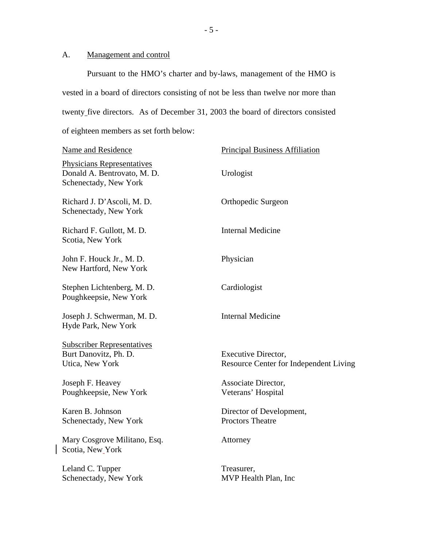### A. Management and control

 $\overline{\phantom{a}}$ 

Pursuant to the HMO's charter and by-laws, management of the HMO is vested in a board of directors consisting of not be less than twelve nor more than twenty five directors. As of December 31, 2003 the board of directors consisted of eighteen members as set forth below:

| Name and Residence                                                                        | <b>Principal Business Affiliation</b>                         |
|-------------------------------------------------------------------------------------------|---------------------------------------------------------------|
| <b>Physicians Representatives</b><br>Donald A. Bentrovato, M. D.<br>Schenectady, New York | Urologist                                                     |
| Richard J. D'Ascoli, M. D.<br>Schenectady, New York                                       | Orthopedic Surgeon                                            |
| Richard F. Gullott, M. D.<br>Scotia, New York                                             | <b>Internal Medicine</b>                                      |
| John F. Houck Jr., M. D.<br>New Hartford, New York                                        | Physician                                                     |
| Stephen Lichtenberg, M. D.<br>Poughkeepsie, New York                                      | Cardiologist                                                  |
| Joseph J. Schwerman, M. D.<br>Hyde Park, New York                                         | <b>Internal Medicine</b>                                      |
| <b>Subscriber Representatives</b><br>Burt Danovitz, Ph. D.<br>Utica, New York             | Executive Director,<br>Resource Center for Independent Living |
| Joseph F. Heavey<br>Poughkeepsie, New York                                                | Associate Director,<br>Veterans' Hospital                     |
| Karen B. Johnson<br>Schenectady, New York                                                 | Director of Development,<br><b>Proctors Theatre</b>           |
| Mary Cosgrove Militano, Esq.<br>Scotia, New York                                          | Attorney                                                      |
| Leland C. Tupper<br>Schenectady, New York                                                 | Treasurer,<br>MVP Health Plan, Inc.                           |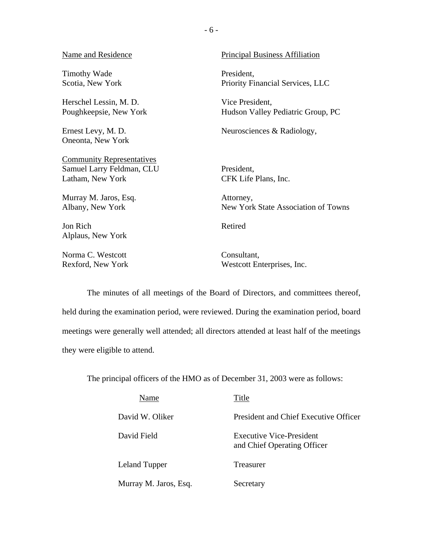#### Name and Residence

Timothy Wade Scotia, New York

Herschel Lessin, M. D. Poughkeepsie, New York

Ernest Levy, M. D. Oneonta, New York

**Community Representatives** Samuel Larry Feldman, CLU Latham, New York

Murray M. Jaros, Esq. Albany, New York

Jon Rich Alplaus, New York

Norma C. Westcott Rexford, New York Principal Business Affiliation

President, Priority Financial Services, LLC

Vice President, Hudson Valley Pediatric Group, PC

Neurosciences & Radiology,

President, CFK Life Plans, Inc.

Attorney, New York State Association of Towns

Retired

Consultant, Westcott Enterprises, Inc.

The minutes of all meetings of the Board of Directors, and committees thereof, held during the examination period, were reviewed. During the examination period, board meetings were generally well attended; all directors attended at least half of the meetings they were eligible to attend.

The principal officers of the HMO as of December 31, 2003 were as follows:

| Name                  | Title                                                   |
|-----------------------|---------------------------------------------------------|
| David W. Oliker       | President and Chief Executive Officer                   |
| David Field           | Executive Vice-President<br>and Chief Operating Officer |
| Leland Tupper         | Treasurer                                               |
| Murray M. Jaros, Esq. | Secretary                                               |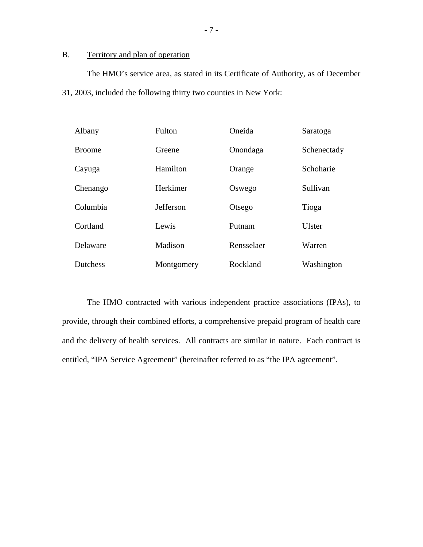### B. Territory and plan of operation

The HMO's service area, as stated in its Certificate of Authority, as of December 31, 2003, included the following thirty two counties in New York:

| Albany          | Fulton           | Oneida     | Saratoga      |
|-----------------|------------------|------------|---------------|
| <b>Broome</b>   | Greene           | Onondaga   | Schenectady   |
| Cayuga          | Hamilton         | Orange     | Schoharie     |
| Chenango        | Herkimer         | Oswego     | Sullivan      |
| Columbia        | <b>Jefferson</b> | Otsego     | Tioga         |
| Cortland        | Lewis            | Putnam     | <b>Ulster</b> |
| Delaware        | Madison          | Rensselaer | Warren        |
| <b>Dutchess</b> | Montgomery       | Rockland   | Washington    |

The HMO contracted with various independent practice associations (IPAs), to provide, through their combined efforts, a comprehensive prepaid program of health care and the delivery of health services. All contracts are similar in nature. Each contract is entitled, "IPA Service Agreement" (hereinafter referred to as "the IPA agreement".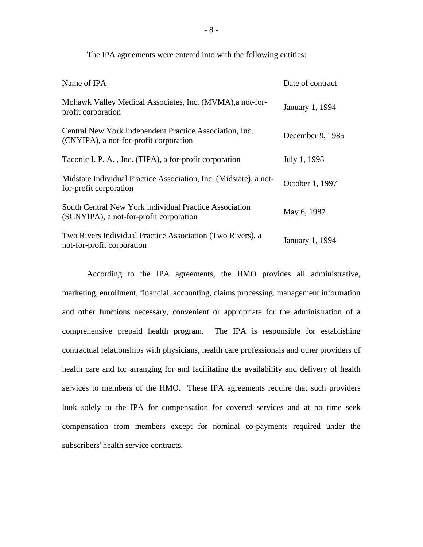| Name of IPA                                                                                       | Date of contract |
|---------------------------------------------------------------------------------------------------|------------------|
| Mohawk Valley Medical Associates, Inc. (MVMA), a not-for-<br>profit corporation                   | January 1, 1994  |
| Central New York Independent Practice Association, Inc.<br>(CNYIPA), a not-for-profit corporation | December 9, 1985 |
| Taconic I. P. A., Inc. (TIPA), a for-profit corporation                                           | July 1, 1998     |
| Midstate Individual Practice Association, Inc. (Midstate), a not-<br>for-profit corporation       | October 1, 1997  |
| South Central New York individual Practice Association<br>(SCNYIPA), a not-for-profit corporation | May 6, 1987      |
| Two Rivers Individual Practice Association (Two Rivers), a<br>not-for-profit corporation          | January 1, 1994  |

The IPA agreements were entered into with the following entities:

 comprehensive prepaid health program. The IPA is responsible for establishing According to the IPA agreements, the HMO provides all administrative, marketing, enrollment, financial, accounting, claims processing, management information and other functions necessary, convenient or appropriate for the administration of a contractual relationships with physicians, health care professionals and other providers of health care and for arranging for and facilitating the availability and delivery of health services to members of the HMO. These IPA agreements require that such providers look solely to the IPA for compensation for covered services and at no time seek compensation from members except for nominal co-payments required under the subscribers' health service contracts.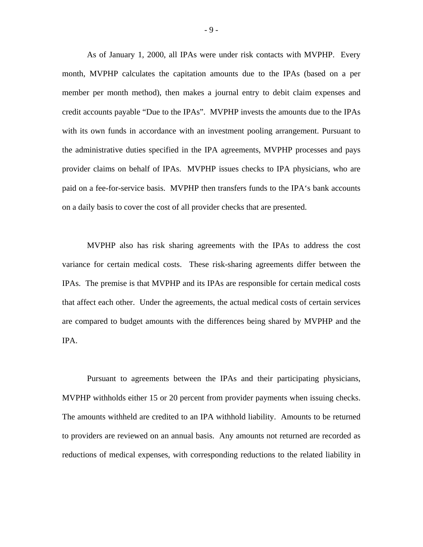As of January 1, 2000, all IPAs were under risk contacts with MVPHP. Every month, MVPHP calculates the capitation amounts due to the IPAs (based on a per member per month method), then makes a journal entry to debit claim expenses and credit accounts payable "Due to the IPAs". MVPHP invests the amounts due to the IPAs with its own funds in accordance with an investment pooling arrangement. Pursuant to the administrative duties specified in the IPA agreements, MVPHP processes and pays provider claims on behalf of IPAs. MVPHP issues checks to IPA physicians, who are paid on a fee-for-service basis. MVPHP then transfers funds to the IPA's bank accounts on a daily basis to cover the cost of all provider checks that are presented.

MVPHP also has risk sharing agreements with the IPAs to address the cost variance for certain medical costs. These risk-sharing agreements differ between the IPAs. The premise is that MVPHP and its IPAs are responsible for certain medical costs that affect each other. Under the agreements, the actual medical costs of certain services are compared to budget amounts with the differences being shared by MVPHP and the IPA.

Pursuant to agreements between the IPAs and their participating physicians, MVPHP withholds either 15 or 20 percent from provider payments when issuing checks. The amounts withheld are credited to an IPA withhold liability. Amounts to be returned to providers are reviewed on an annual basis. Any amounts not returned are recorded as reductions of medical expenses, with corresponding reductions to the related liability in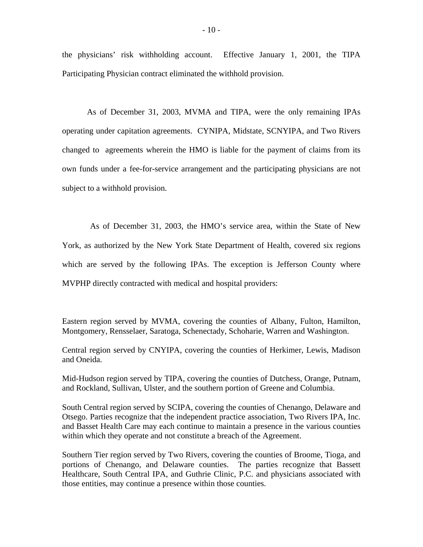the physicians' risk withholding account. Effective January 1, 2001, the TIPA Participating Physician contract eliminated the withhold provision.

As of December 31, 2003, MVMA and TIPA, were the only remaining IPAs operating under capitation agreements. CYNIPA, Midstate, SCNYIPA, and Two Rivers changed to agreements wherein the HMO is liable for the payment of claims from its own funds under a fee-for-service arrangement and the participating physicians are not subject to a withhold provision.

As of December 31, 2003, the HMO's service area, within the State of New York, as authorized by the New York State Department of Health, covered six regions which are served by the following IPAs. The exception is Jefferson County where MVPHP directly contracted with medical and hospital providers:

Eastern region served by MVMA, covering the counties of Albany, Fulton, Hamilton, Montgomery, Rensselaer, Saratoga, Schenectady, Schoharie, Warren and Washington.

Central region served by CNYIPA, covering the counties of Herkimer, Lewis, Madison and Oneida.

Mid-Hudson region served by TIPA, covering the counties of Dutchess, Orange, Putnam, and Rockland, Sullivan, Ulster, and the southern portion of Greene and Columbia.

South Central region served by SCIPA, covering the counties of Chenango, Delaware and Otsego. Parties recognize that the independent practice association, Two Rivers IPA, Inc. and Basset Health Care may each continue to maintain a presence in the various counties within which they operate and not constitute a breach of the Agreement.

Southern Tier region served by Two Rivers, covering the counties of Broome, Tioga, and portions of Chenango, and Delaware counties. The parties recognize that Bassett Healthcare, South Central IPA, and Guthrie Clinic, P.C. and physicians associated with those entities, may continue a presence within those counties.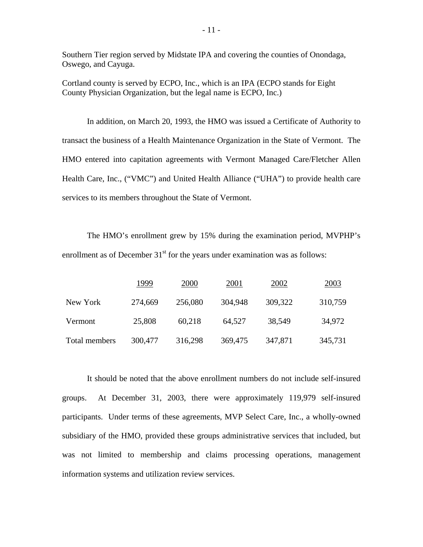Southern Tier region served by Midstate IPA and covering the counties of Onondaga, Oswego, and Cayuga.

Cortland county is served by ECPO, Inc., which is an IPA (ECPO stands for Eight County Physician Organization, but the legal name is ECPO, Inc.)

In addition, on March 20, 1993, the HMO was issued a Certificate of Authority to transact the business of a Health Maintenance Organization in the State of Vermont. The HMO entered into capitation agreements with Vermont Managed Care/Fletcher Allen Health Care, Inc., ("VMC") and United Health Alliance ("UHA") to provide health care services to its members throughout the State of Vermont.

The HMO's enrollment grew by 15% during the examination period, MVPHP's enrollment as of December  $31<sup>st</sup>$  for the years under examination was as follows:

|               | 1999    | 2000    | 2001    | 2002    | 2003    |
|---------------|---------|---------|---------|---------|---------|
| New York      | 274,669 | 256,080 | 304,948 | 309,322 | 310,759 |
| Vermont       | 25,808  | 60,218  | 64,527  | 38,549  | 34,972  |
| Total members | 300,477 | 316,298 | 369,475 | 347,871 | 345,731 |

It should be noted that the above enrollment numbers do not include self-insured groups. At December 31, 2003, there were approximately 119,979 self-insured participants. Under terms of these agreements, MVP Select Care, Inc., a wholly-owned subsidiary of the HMO, provided these groups administrative services that included, but was not limited to membership and claims processing operations, management information systems and utilization review services.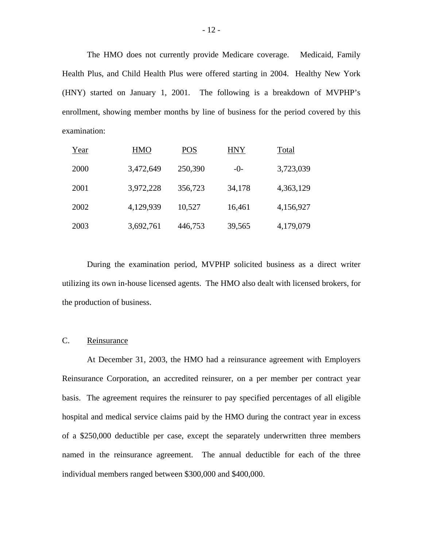The HMO does not currently provide Medicare coverage. Medicaid, Family Health Plus, and Child Health Plus were offered starting in 2004. Healthy New York (HNY) started on January 1, 2001. The following is a breakdown of MVPHP's enrollment, showing member months by line of business for the period covered by this examination:

| Year | <b>HMO</b> | <b>POS</b> | <b>HNY</b> | Total     |
|------|------------|------------|------------|-----------|
| 2000 | 3,472,649  | 250,390    | $-0-$      | 3,723,039 |
| 2001 | 3,972,228  | 356,723    | 34,178     | 4,363,129 |
| 2002 | 4,129,939  | 10,527     | 16,461     | 4,156,927 |
| 2003 | 3,692,761  | 446,753    | 39,565     | 4,179,079 |

During the examination period, MVPHP solicited business as a direct writer utilizing its own in-house licensed agents. The HMO also dealt with licensed brokers, for the production of business.

#### C. Reinsurance

At December 31, 2003, the HMO had a reinsurance agreement with Employers Reinsurance Corporation, an accredited reinsurer, on a per member per contract year basis. The agreement requires the reinsurer to pay specified percentages of all eligible hospital and medical service claims paid by the HMO during the contract year in excess of a \$250,000 deductible per case, except the separately underwritten three members named in the reinsurance agreement. The annual deductible for each of the three individual members ranged between \$300,000 and \$400,000.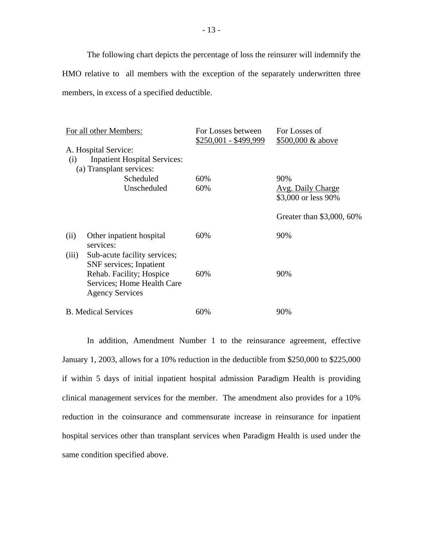The following chart depicts the percentage of loss the reinsurer will indemnify the HMO relative to all members with the exception of the separately underwritten three members, in excess of a specified deductible.

|       | For all other Members:                                                                  | For Losses between<br>$$250,001 - $499,999$ | For Losses of<br>\$500,000 & above       |
|-------|-----------------------------------------------------------------------------------------|---------------------------------------------|------------------------------------------|
| (i)   | A. Hospital Service:<br><b>Inpatient Hospital Services:</b><br>(a) Transplant services: |                                             |                                          |
|       | Scheduled                                                                               | 60%                                         | 90%                                      |
|       | Unscheduled                                                                             | 60%                                         | Avg. Daily Charge<br>\$3,000 or less 90% |
|       |                                                                                         |                                             | Greater than \$3,000, 60%                |
| (ii)  | Other inpatient hospital<br>services:                                                   | 60%                                         | 90%                                      |
| (iii) | Sub-acute facility services;<br>SNF services; Inpatient<br>Rehab. Facility; Hospice     | 60%                                         | 90%                                      |
|       | Services; Home Health Care<br><b>Agency Services</b>                                    |                                             |                                          |
|       | <b>B.</b> Medical Services                                                              | 60%                                         | 90%                                      |

In addition, Amendment Number 1 to the reinsurance agreement, effective January 1, 2003, allows for a 10% reduction in the deductible from \$250,000 to \$225,000 if within 5 days of initial inpatient hospital admission Paradigm Health is providing clinical management services for the member. The amendment also provides for a 10% reduction in the coinsurance and commensurate increase in reinsurance for inpatient hospital services other than transplant services when Paradigm Health is used under the same condition specified above.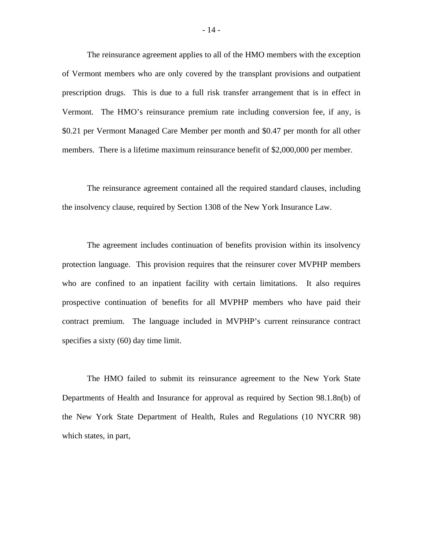The reinsurance agreement applies to all of the HMO members with the exception of Vermont members who are only covered by the transplant provisions and outpatient prescription drugs. This is due to a full risk transfer arrangement that is in effect in Vermont. The HMO's reinsurance premium rate including conversion fee, if any, is \$0.21 per Vermont Managed Care Member per month and \$0.47 per month for all other members. There is a lifetime maximum reinsurance benefit of \$2,000,000 per member.

The reinsurance agreement contained all the required standard clauses, including the insolvency clause, required by Section 1308 of the New York Insurance Law.

The agreement includes continuation of benefits provision within its insolvency protection language. This provision requires that the reinsurer cover MVPHP members who are confined to an inpatient facility with certain limitations. It also requires prospective continuation of benefits for all MVPHP members who have paid their contract premium. The language included in MVPHP's current reinsurance contract specifies a sixty (60) day time limit.

The HMO failed to submit its reinsurance agreement to the New York State Departments of Health and Insurance for approval as required by Section 98.1.8n(b) of the New York State Department of Health, Rules and Regulations (10 NYCRR 98) which states, in part,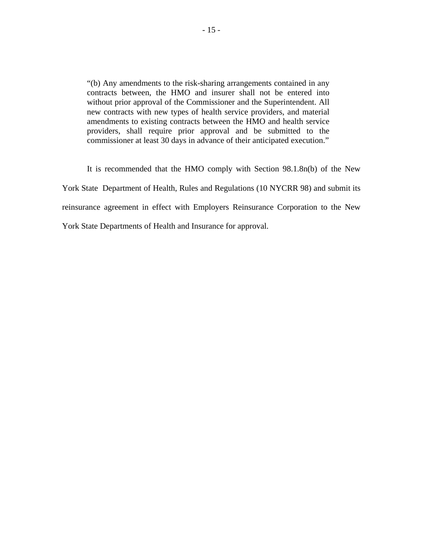"(b) Any amendments to the risk-sharing arrangements contained in any contracts between, the HMO and insurer shall not be entered into without prior approval of the Commissioner and the Superintendent. All new contracts with new types of health service providers, and material amendments to existing contracts between the HMO and health service providers, shall require prior approval and be submitted to the commissioner at least 30 days in advance of their anticipated execution."

It is recommended that the HMO comply with Section 98.1.8n(b) of the New York State Department of Health, Rules and Regulations (10 NYCRR 98) and submit its reinsurance agreement in effect with Employers Reinsurance Corporation to the New York State Departments of Health and Insurance for approval.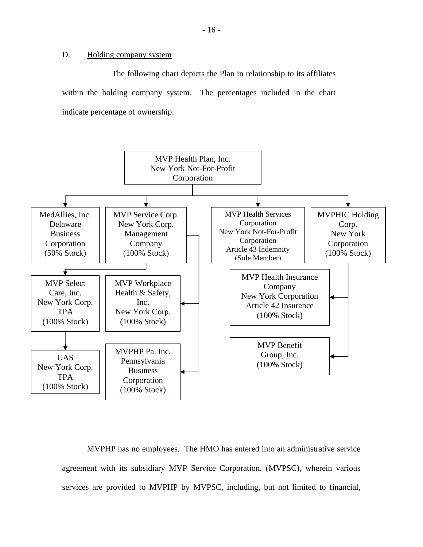#### D. Holding company system

The following chart depicts the Plan in relationship to its affiliates within the holding company system. The percentages included in the chart indicate percentage of ownership.



MVPHP has no employees. The HMO has entered into an administrative service agreement with its subsidiary MVP Service Corporation. (MVPSC), wherein various services are provided to MVPHP by MVPSC, including, but not limited to financial,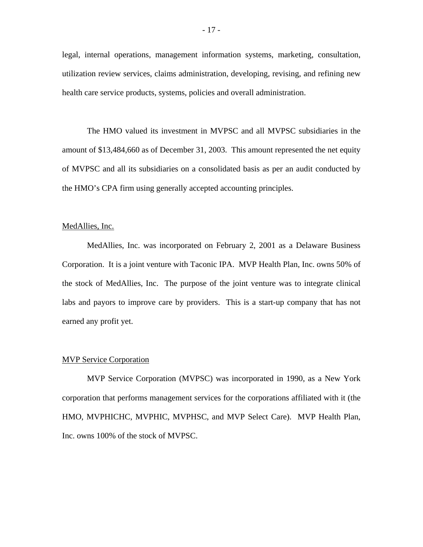legal, internal operations, management information systems, marketing, consultation, utilization review services, claims administration, developing, revising, and refining new health care service products, systems, policies and overall administration.

The HMO valued its investment in MVPSC and all MVPSC subsidiaries in the amount of \$13,484,660 as of December 31, 2003. This amount represented the net equity of MVPSC and all its subsidiaries on a consolidated basis as per an audit conducted by the HMO's CPA firm using generally accepted accounting principles.

#### MedAllies, Inc.

MedAllies, Inc. was incorporated on February 2, 2001 as a Delaware Business Corporation. It is a joint venture with Taconic IPA. MVP Health Plan, Inc. owns 50% of the stock of MedAllies, Inc. The purpose of the joint venture was to integrate clinical labs and payors to improve care by providers. This is a start-up company that has not earned any profit yet.

#### MVP Service Corporation

MVP Service Corporation (MVPSC) was incorporated in 1990, as a New York corporation that performs management services for the corporations affiliated with it (the HMO, MVPHICHC, MVPHIC, MVPHSC, and MVP Select Care). MVP Health Plan, Inc. owns 100% of the stock of MVPSC.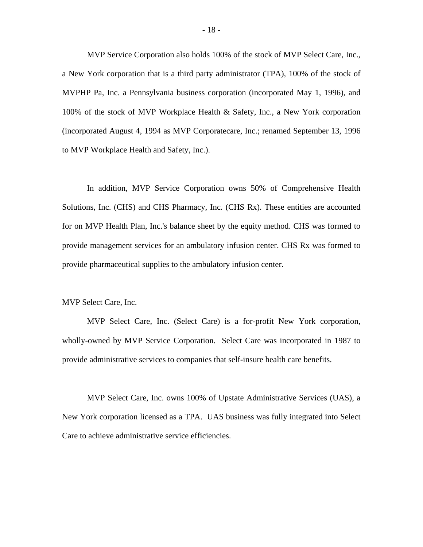MVP Service Corporation also holds 100% of the stock of MVP Select Care, Inc., a New York corporation that is a third party administrator (TPA), 100% of the stock of MVPHP Pa, Inc. a Pennsylvania business corporation (incorporated May 1, 1996), and 100% of the stock of MVP Workplace Health & Safety, Inc., a New York corporation (incorporated August 4, 1994 as MVP Corporatecare, Inc.; renamed September 13, 1996 to MVP Workplace Health and Safety, Inc.).

In addition, MVP Service Corporation owns 50% of Comprehensive Health Solutions, Inc. (CHS) and CHS Pharmacy, Inc. (CHS Rx). These entities are accounted for on MVP Health Plan, Inc.'s balance sheet by the equity method. CHS was formed to provide management services for an ambulatory infusion center. CHS Rx was formed to provide pharmaceutical supplies to the ambulatory infusion center.

#### MVP Select Care, Inc.

MVP Select Care, Inc. (Select Care) is a for-profit New York corporation, wholly-owned by MVP Service Corporation. Select Care was incorporated in 1987 to provide administrative services to companies that self-insure health care benefits.

MVP Select Care, Inc. owns 100% of Upstate Administrative Services (UAS), a New York corporation licensed as a TPA. UAS business was fully integrated into Select Care to achieve administrative service efficiencies.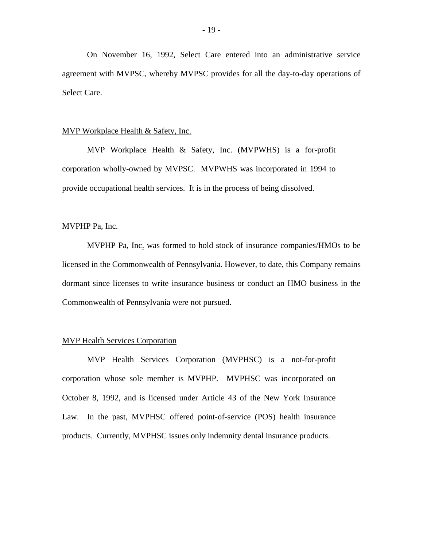On November 16, 1992, Select Care entered into an administrative service agreement with MVPSC, whereby MVPSC provides for all the day-to-day operations of Select Care.

#### MVP Workplace Health & Safety, Inc.

MVP Workplace Health & Safety, Inc. (MVPWHS) is a for-profit corporation wholly-owned by MVPSC. MVPWHS was incorporated in 1994 to provide occupational health services. It is in the process of being dissolved.

#### MVPHP Pa, Inc.

MVPHP Pa, Inc. was formed to hold stock of insurance companies/HMOs to be licensed in the Commonwealth of Pennsylvania. However, to date, this Company remains dormant since licenses to write insurance business or conduct an HMO business in the Commonwealth of Pennsylvania were not pursued.

#### MVP Health Services Corporation

MVP Health Services Corporation (MVPHSC) is a not-for-profit corporation whose sole member is MVPHP. MVPHSC was incorporated on October 8, 1992, and is licensed under Article 43 of the New York Insurance Law. In the past, MVPHSC offered point-of-service (POS) health insurance products. Currently, MVPHSC issues only indemnity dental insurance products.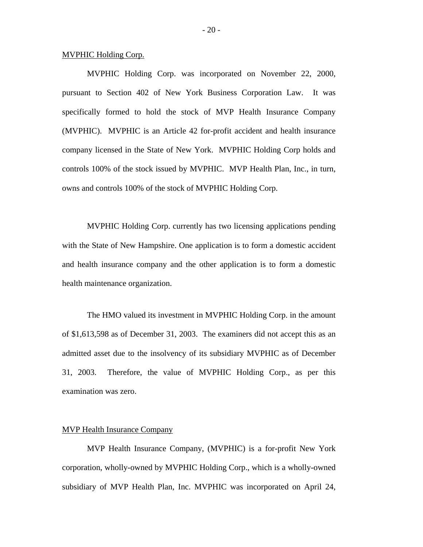#### MVPHIC Holding Corp.

MVPHIC Holding Corp. was incorporated on November 22, 2000, pursuant to Section 402 of New York Business Corporation Law. It was specifically formed to hold the stock of MVP Health Insurance Company (MVPHIC). MVPHIC is an Article 42 for-profit accident and health insurance company licensed in the State of New York. MVPHIC Holding Corp holds and controls 100% of the stock issued by MVPHIC. MVP Health Plan, Inc., in turn, owns and controls 100% of the stock of MVPHIC Holding Corp.

MVPHIC Holding Corp. currently has two licensing applications pending with the State of New Hampshire. One application is to form a domestic accident and health insurance company and the other application is to form a domestic health maintenance organization.

The HMO valued its investment in MVPHIC Holding Corp. in the amount of \$1,613,598 as of December 31, 2003. The examiners did not accept this as an admitted asset due to the insolvency of its subsidiary MVPHIC as of December 31, 2003. Therefore, the value of MVPHIC Holding Corp., as per this examination was zero.

#### MVP Health Insurance Company

MVP Health Insurance Company, (MVPHIC) is a for-profit New York corporation, wholly-owned by MVPHIC Holding Corp., which is a wholly-owned subsidiary of MVP Health Plan, Inc. MVPHIC was incorporated on April 24,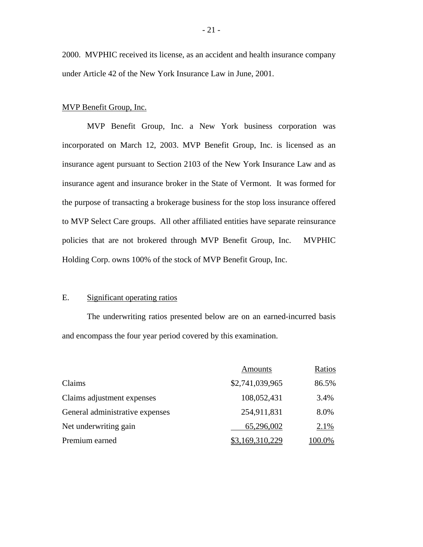2000. MVPHIC received its license, as an accident and health insurance company under Article 42 of the New York Insurance Law in June, 2001.

#### MVP Benefit Group, Inc.

MVP Benefit Group, Inc. a New York business corporation was incorporated on March 12, 2003. MVP Benefit Group, Inc. is licensed as an insurance agent pursuant to Section 2103 of the New York Insurance Law and as insurance agent and insurance broker in the State of Vermont. It was formed for the purpose of transacting a brokerage business for the stop loss insurance offered to MVP Select Care groups. All other affiliated entities have separate reinsurance policies that are not brokered through MVP Benefit Group, Inc. MVPHIC Holding Corp. owns 100% of the stock of MVP Benefit Group, Inc.

#### E. Significant operating ratios

The underwriting ratios presented below are on an earned-incurred basis and encompass the four year period covered by this examination.

|                                 | Amounts         | Ratios |
|---------------------------------|-----------------|--------|
| Claims                          | \$2,741,039,965 | 86.5%  |
| Claims adjustment expenses      | 108,052,431     | 3.4%   |
| General administrative expenses | 254,911,831     | 8.0%   |
| Net underwriting gain           | 65,296,002      | 2.1%   |
| Premium earned                  | 169,310,229     | 00.0%  |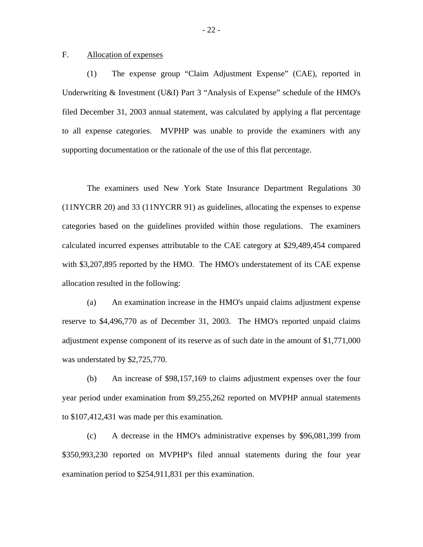#### F. Allocation of expenses

(1) The expense group "Claim Adjustment Expense" (CAE), reported in Underwriting & Investment (U&I) Part 3 "Analysis of Expense" schedule of the HMO's filed December 31, 2003 annual statement, was calculated by applying a flat percentage to all expense categories. MVPHP was unable to provide the examiners with any supporting documentation or the rationale of the use of this flat percentage.

The examiners used New York State Insurance Department Regulations 30 (11NYCRR 20) and 33 (11NYCRR 91) as guidelines, allocating the expenses to expense categories based on the guidelines provided within those regulations. The examiners calculated incurred expenses attributable to the CAE category at \$29,489,454 compared with \$3,207,895 reported by the HMO. The HMO's understatement of its CAE expense allocation resulted in the following:

(a) An examination increase in the HMO's unpaid claims adjustment expense reserve to \$4,496,770 as of December 31, 2003. The HMO's reported unpaid claims adjustment expense component of its reserve as of such date in the amount of \$1,771,000 was understated by \$2,725,770.

(b) An increase of \$98,157,169 to claims adjustment expenses over the four year period under examination from \$9,255,262 reported on MVPHP annual statements to \$107,412,431 was made per this examination.

(c) A decrease in the HMO's administrative expenses by \$96,081,399 from \$350,993,230 reported on MVPHP's filed annual statements during the four year examination period to \$254,911,831 per this examination.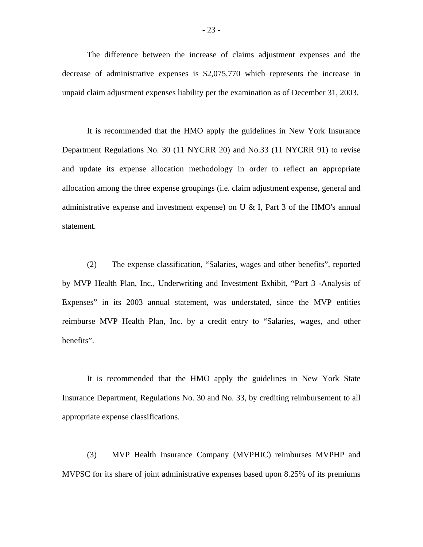The difference between the increase of claims adjustment expenses and the decrease of administrative expenses is \$2,075,770 which represents the increase in unpaid claim adjustment expenses liability per the examination as of December 31, 2003.

It is recommended that the HMO apply the guidelines in New York Insurance Department Regulations No. 30 (11 NYCRR 20) and No.33 (11 NYCRR 91) to revise and update its expense allocation methodology in order to reflect an appropriate allocation among the three expense groupings (i.e. claim adjustment expense, general and administrative expense and investment expense) on U & I, Part 3 of the HMO's annual statement.

(2) The expense classification, "Salaries, wages and other benefits", reported by MVP Health Plan, Inc., Underwriting and Investment Exhibit, "Part 3 -Analysis of Expenses" in its 2003 annual statement, was understated, since the MVP entities reimburse MVP Health Plan, Inc. by a credit entry to "Salaries, wages, and other benefits".

It is recommended that the HMO apply the guidelines in New York State Insurance Department, Regulations No. 30 and No. 33, by crediting reimbursement to all appropriate expense classifications.

(3) MVP Health Insurance Company (MVPHIC) reimburses MVPHP and MVPSC for its share of joint administrative expenses based upon 8.25% of its premiums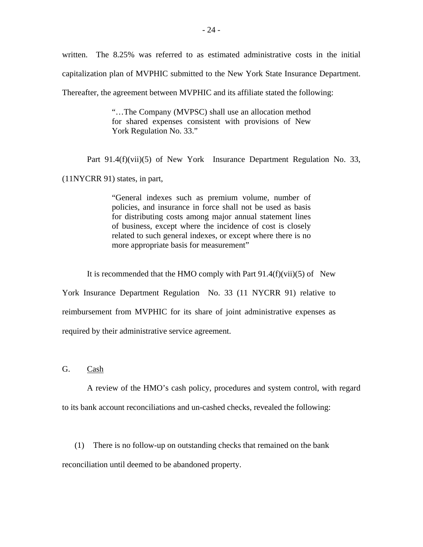written. The 8.25% was referred to as estimated administrative costs in the initial capitalization plan of MVPHIC submitted to the New York State Insurance Department. Thereafter, the agreement between MVPHIC and its affiliate stated the following:

> "…The Company (MVPSC) shall use an allocation method for shared expenses consistent with provisions of New York Regulation No. 33."

Part 91.4(f)(vii)(5) of New York Insurance Department Regulation No. 33,

(11NYCRR 91) states, in part,

"General indexes such as premium volume, number of policies, and insurance in force shall not be used as basis for distributing costs among major annual statement lines of business, except where the incidence of cost is closely related to such general indexes, or except where there is no more appropriate basis for measurement"

It is recommended that the HMO comply with Part  $91.4(f)(vii)(5)$  of New

York Insurance Department Regulation No. 33 (11 NYCRR 91) relative to reimbursement from MVPHIC for its share of joint administrative expenses as required by their administrative service agreement.

G. Cash

A review of the HMO's cash policy, procedures and system control, with regard to its bank account reconciliations and un-cashed checks, revealed the following:

(1) There is no follow-up on outstanding checks that remained on the bank reconciliation until deemed to be abandoned property.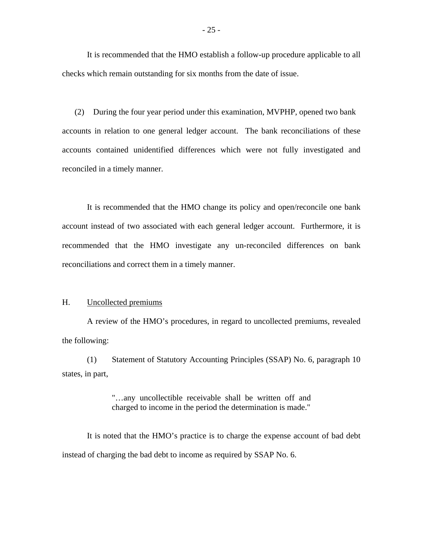It is recommended that the HMO establish a follow-up procedure applicable to all checks which remain outstanding for six months from the date of issue.

(2) During the four year period under this examination, MVPHP, opened two bank accounts in relation to one general ledger account. The bank reconciliations of these accounts contained unidentified differences which were not fully investigated and reconciled in a timely manner.

It is recommended that the HMO change its policy and open/reconcile one bank account instead of two associated with each general ledger account. Furthermore, it is recommended that the HMO investigate any un-reconciled differences on bank reconciliations and correct them in a timely manner.

#### H. Uncollected premiums

A review of the HMO's procedures, in regard to uncollected premiums, revealed the following:

(1) Statement of Statutory Accounting Principles (SSAP) No. 6, paragraph 10 states, in part,

> "…any uncollectible receivable shall be written off and charged to income in the period the determination is made."

It is noted that the HMO's practice is to charge the expense account of bad debt instead of charging the bad debt to income as required by SSAP No. 6.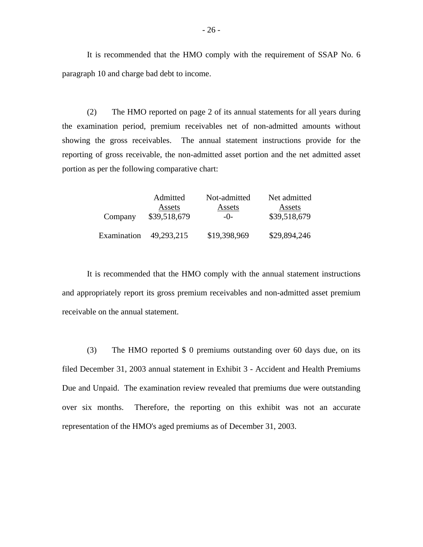It is recommended that the HMO comply with the requirement of SSAP No. 6 paragraph 10 and charge bad debt to income.

(2) The HMO reported on page 2 of its annual statements for all years during the examination period, premium receivables net of non-admitted amounts without showing the gross receivables. The annual statement instructions provide for the reporting of gross receivable, the non-admitted asset portion and the net admitted asset portion as per the following comparative chart:

|             | Admitted     | Not-admitted | Net admitted |
|-------------|--------------|--------------|--------------|
|             | Assets       | Assets       | Assets       |
| Company     | \$39,518,679 | $-()$ -      | \$39,518,679 |
| Examination | 49,293,215   | \$19,398,969 | \$29,894,246 |

It is recommended that the HMO comply with the annual statement instructions and appropriately report its gross premium receivables and non-admitted asset premium receivable on the annual statement.

(3) The HMO reported \$ 0 premiums outstanding over 60 days due, on its filed December 31, 2003 annual statement in Exhibit 3 - Accident and Health Premiums Due and Unpaid. The examination review revealed that premiums due were outstanding over six months. Therefore, the reporting on this exhibit was not an accurate representation of the HMO's aged premiums as of December 31, 2003.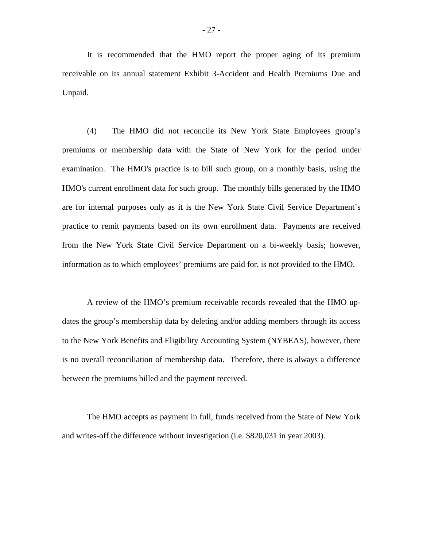It is recommended that the HMO report the proper aging of its premium receivable on its annual statement Exhibit 3-Accident and Health Premiums Due and Unpaid.

(4) The HMO did not reconcile its New York State Employees group's premiums or membership data with the State of New York for the period under examination. The HMO's practice is to bill such group, on a monthly basis, using the HMO's current enrollment data for such group. The monthly bills generated by the HMO are for internal purposes only as it is the New York State Civil Service Department's practice to remit payments based on its own enrollment data. Payments are received from the New York State Civil Service Department on a bi-weekly basis; however, information as to which employees' premiums are paid for, is not provided to the HMO.

A review of the HMO's premium receivable records revealed that the HMO updates the group's membership data by deleting and/or adding members through its access to the New York Benefits and Eligibility Accounting System (NYBEAS), however, there is no overall reconciliation of membership data. Therefore, there is always a difference between the premiums billed and the payment received.

The HMO accepts as payment in full, funds received from the State of New York and writes-off the difference without investigation (i.e. \$820,031 in year 2003).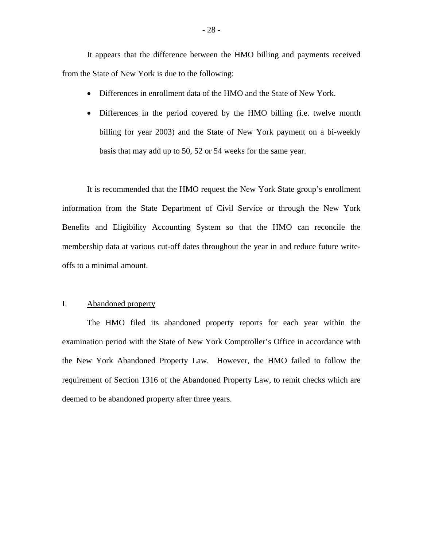It appears that the difference between the HMO billing and payments received from the State of New York is due to the following:

- Differences in enrollment data of the HMO and the State of New York.
- Differences in the period covered by the HMO billing (i.e. twelve month billing for year 2003) and the State of New York payment on a bi-weekly basis that may add up to 50, 52 or 54 weeks for the same year.

It is recommended that the HMO request the New York State group's enrollment information from the State Department of Civil Service or through the New York Benefits and Eligibility Accounting System so that the HMO can reconcile the membership data at various cut-off dates throughout the year in and reduce future writeoffs to a minimal amount.

#### I. Abandoned property

 requirement of Section 1316 of the Abandoned Property Law, to remit checks which are deemed to be abandoned property after three years. The HMO filed its abandoned property reports for each year within the examination period with the State of New York Comptroller's Office in accordance with the New York Abandoned Property Law. However, the HMO failed to follow the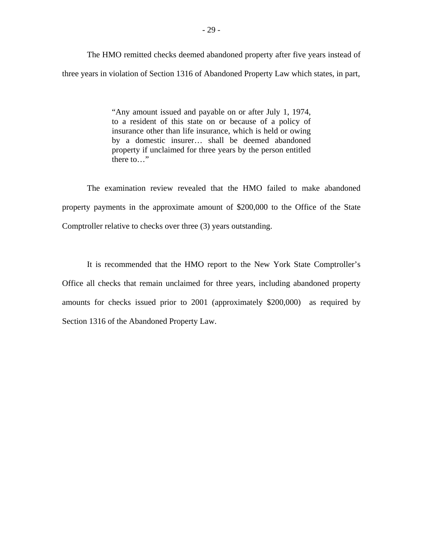The HMO remitted checks deemed abandoned property after five years instead of three years in violation of Section 1316 of Abandoned Property Law which states, in part,

> "Any amount issued and payable on or after July 1, 1974, to a resident of this state on or because of a policy of insurance other than life insurance, which is held or owing by a domestic insurer… shall be deemed abandoned property if unclaimed for three years by the person entitled there to…"

The examination review revealed that the HMO failed to make abandoned property payments in the approximate amount of \$200,000 to the Office of the State Comptroller relative to checks over three (3) years outstanding.

It is recommended that the HMO report to the New York State Comptroller's Office all checks that remain unclaimed for three years, including abandoned property amounts for checks issued prior to 2001 (approximately \$200,000) as required by Section 1316 of the Abandoned Property Law.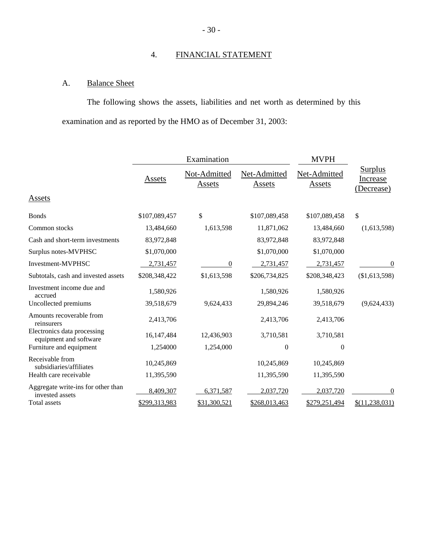# 4. FINANCIAL STATEMENT

### A. Balance Sheet

The following shows the assets, liabilities and net worth as determined by this examination and as reported by the HMO as of December 31, 2003:

|                                                       |               | Examination            |                               | <b>MVPH</b>                   |                                          |
|-------------------------------------------------------|---------------|------------------------|-------------------------------|-------------------------------|------------------------------------------|
|                                                       | <b>Assets</b> | Not-Admitted<br>Assets | Net-Admitted<br><b>Assets</b> | Net-Admitted<br><b>Assets</b> | <b>Surplus</b><br>Increase<br>(Decrease) |
| Assets                                                |               |                        |                               |                               |                                          |
| <b>Bonds</b>                                          | \$107,089,457 | \$                     | \$107,089,458                 | \$107,089,458                 | \$                                       |
| Common stocks                                         | 13,484,660    | 1,613,598              | 11,871,062                    | 13,484,660                    | (1,613,598)                              |
| Cash and short-term investments                       | 83,972,848    |                        | 83,972,848                    | 83,972,848                    |                                          |
| Surplus notes-MVPHSC                                  | \$1,070,000   |                        | \$1,070,000                   | \$1,070,000                   |                                          |
| Investment-MVPHSC                                     | 2,731,457     | 0                      | 2,731,457                     | 2,731,457                     | 0                                        |
| Subtotals, cash and invested assets                   | \$208,348,422 | \$1,613,598            | \$206,734,825                 | \$208,348,423                 | (\$1,613,598)                            |
| Investment income due and<br>accrued                  | 1,580,926     |                        | 1,580,926                     | 1,580,926                     |                                          |
| Uncollected premiums                                  | 39,518,679    | 9,624,433              | 29,894,246                    | 39,518,679                    | (9,624,433)                              |
| Amounts recoverable from<br>reinsurers                | 2,413,706     |                        | 2,413,706                     | 2,413,706                     |                                          |
| Electronics data processing<br>equipment and software | 16,147,484    | 12,436,903             | 3,710,581                     | 3,710,581                     |                                          |
| Furniture and equipment                               | 1,254000      | 1,254,000              | $\boldsymbol{0}$              | $\theta$                      |                                          |
| Receivable from<br>subsidiaries/affiliates            | 10,245,869    |                        | 10,245,869                    | 10,245,869                    |                                          |
| Health care receivable                                | 11,395,590    |                        | 11,395,590                    | 11,395,590                    |                                          |
| Aggregate write-ins for other than<br>invested assets | 8,409,307     | 6,371,587              | 2,037,720                     | 2,037,720                     | 0                                        |
| Total assets                                          | \$299,313,983 | \$31,300,521           | \$268,013,463                 | \$279,251,494                 | \$(11, 238, 031)                         |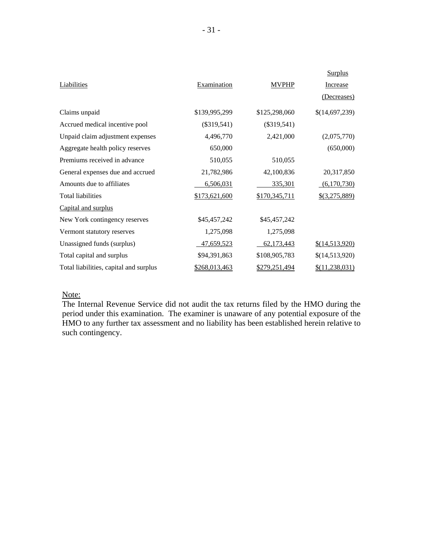|                                        |               |               | <b>Surplus</b>   |
|----------------------------------------|---------------|---------------|------------------|
| Liabilities                            | Examination   | <b>MVPHP</b>  | Increase         |
|                                        |               |               | (Decreases)      |
| Claims unpaid                          | \$139,995,299 | \$125,298,060 | \$(14,697,239)   |
| Accrued medical incentive pool         | $(\$319,541)$ | $(\$319,541)$ |                  |
| Unpaid claim adjustment expenses       | 4,496,770     | 2,421,000     | (2,075,770)      |
| Aggregate health policy reserves       | 650,000       |               | (650,000)        |
| Premiums received in advance           | 510,055       | 510,055       |                  |
| General expenses due and accrued       | 21,782,986    | 42,100,836    | 20,317,850       |
| Amounts due to affiliates              | 6,506,031     | 335,301       | (6,170,730)      |
| <b>Total liabilities</b>               | \$173,621,600 | \$170,345,711 | $$$ (3,275,889)  |
| Capital and surplus                    |               |               |                  |
| New York contingency reserves          | \$45,457,242  | \$45,457,242  |                  |
| Vermont statutory reserves             | 1,275,098     | 1,275,098     |                  |
| Unassigned funds (surplus)             | 47,659,523    | 62,173,443    | \$(14,513,920)   |
| Total capital and surplus              | \$94,391,863  | \$108,905,783 | \$(14,513,920)   |
| Total liabilities, capital and surplus | \$268,013,463 | \$279,251,494 | \$(11, 238, 031) |

#### Note:

The Internal Revenue Service did not audit the tax returns filed by the HMO during the period under this examination. The examiner is unaware of any potential exposure of the HMO to any further tax assessment and no liability has been established herein relative to such contingency.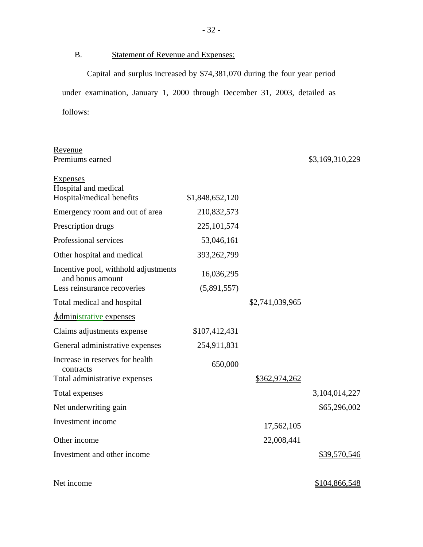B. Statement of Revenue and Expenses:

Capital and surplus increased by \$74,381,070 during the four year period under examination, January 1, 2000 through December 31, 2003, detailed as follows:

| Revenue                                                  |                 |                 |                 |
|----------------------------------------------------------|-----------------|-----------------|-----------------|
| Premiums earned                                          |                 |                 | \$3,169,310,229 |
| <b>Expenses</b><br><b>Hospital and medical</b>           |                 |                 |                 |
| Hospital/medical benefits                                | \$1,848,652,120 |                 |                 |
| Emergency room and out of area                           | 210,832,573     |                 |                 |
| Prescription drugs                                       | 225, 101, 574   |                 |                 |
| Professional services                                    | 53,046,161      |                 |                 |
| Other hospital and medical                               | 393,262,799     |                 |                 |
| Incentive pool, withhold adjustments<br>and bonus amount | 16,036,295      |                 |                 |
| Less reinsurance recoveries                              | (5,891,557)     |                 |                 |
| Total medical and hospital                               |                 | \$2,741,039,965 |                 |
| Administrative expenses                                  |                 |                 |                 |
| Claims adjustments expense                               | \$107,412,431   |                 |                 |
| General administrative expenses                          | 254,911,831     |                 |                 |
| Increase in reserves for health<br>contracts             | 650,000         |                 |                 |
| Total administrative expenses                            |                 | \$362,974,262   |                 |
| Total expenses                                           |                 |                 | 3,104,014,227   |
| Net underwriting gain                                    |                 |                 | \$65,296,002    |
| Investment income                                        |                 | 17,562,105      |                 |
| Other income                                             |                 | 22,008,441      |                 |
| Investment and other income                              |                 |                 | \$39,570,546    |
|                                                          |                 |                 |                 |
| Net income                                               |                 |                 | \$104,866,548   |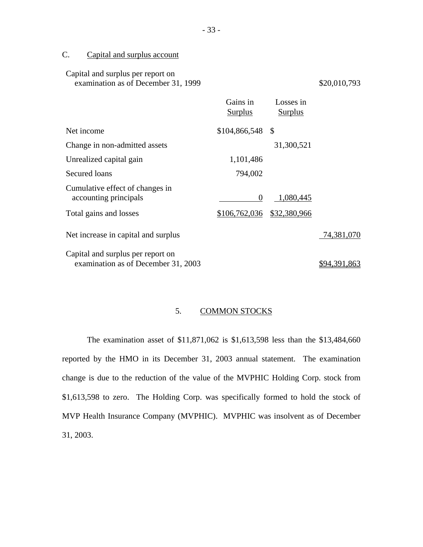### C. Capital and surplus account

| Capital and surplus per report on<br>examination as of December 31, 1999 |                            |                             | \$20,010,793 |
|--------------------------------------------------------------------------|----------------------------|-----------------------------|--------------|
|                                                                          | Gains in<br><b>Surplus</b> | Losses in<br><b>Surplus</b> |              |
| Net income                                                               | $$104,866,548$ \\$         |                             |              |
| Change in non-admitted assets                                            |                            | 31,300,521                  |              |
| Unrealized capital gain                                                  | 1,101,486                  |                             |              |
| Secured loans                                                            | 794,002                    |                             |              |
| Cumulative effect of changes in<br>accounting principals                 | 0                          | 1,080,445                   |              |
| Total gains and losses                                                   | \$106,762,036              | \$32,380,966                |              |
| Net increase in capital and surplus                                      |                            |                             | 74,381,070   |
| Capital and surplus per report on<br>examination as of December 31, 2003 |                            |                             | \$94.391.863 |

### 5. COMMON STOCKS

The examination asset of \$11,871,062 is \$1,613,598 less than the \$13,484,660 reported by the HMO in its December 31, 2003 annual statement. The examination change is due to the reduction of the value of the MVPHIC Holding Corp. stock from \$1,613,598 to zero. The Holding Corp. was specifically formed to hold the stock of MVP Health Insurance Company (MVPHIC). MVPHIC was insolvent as of December 31, 2003.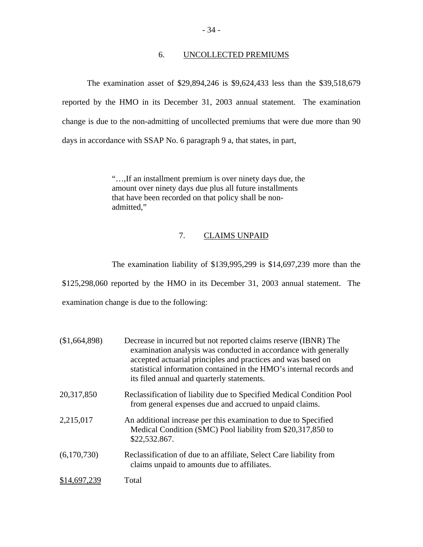#### 6. UNCOLLECTED PREMIUMS

The examination asset of \$29,894,246 is \$9,624,433 less than the \$39,518,679 reported by the HMO in its December 31, 2003 annual statement. The examination change is due to the non-admitting of uncollected premiums that were due more than 90 days in accordance with SSAP No. 6 paragraph 9 a, that states, in part,

> "…,If an installment premium is over ninety days due, the amount over ninety days due plus all future installments that have been recorded on that policy shall be nonadmitted,"

### 7. CLAIMS UNPAID

The examination liability of \$139,995,299 is \$14,697,239 more than the \$125,298,060 reported by the HMO in its December 31, 2003 annual statement. The examination change is due to the following:

| (\$1,664,898) | Decrease in incurred but not reported claims reserve (IBNR) The<br>examination analysis was conducted in accordance with generally<br>accepted actuarial principles and practices and was based on<br>statistical information contained in the HMO's internal records and<br>its filed annual and quarterly statements. |
|---------------|-------------------------------------------------------------------------------------------------------------------------------------------------------------------------------------------------------------------------------------------------------------------------------------------------------------------------|
| 20,317,850    | Reclassification of liability due to Specified Medical Condition Pool<br>from general expenses due and accrued to unpaid claims.                                                                                                                                                                                        |
| 2,215,017     | An additional increase per this examination to due to Specified<br>Medical Condition (SMC) Pool liability from \$20,317,850 to<br>\$22,532.867.                                                                                                                                                                         |
| (6,170,730)   | Reclassification of due to an affiliate, Select Care liability from<br>claims unpaid to amounts due to affiliates.                                                                                                                                                                                                      |
| \$14,697,239  | Total                                                                                                                                                                                                                                                                                                                   |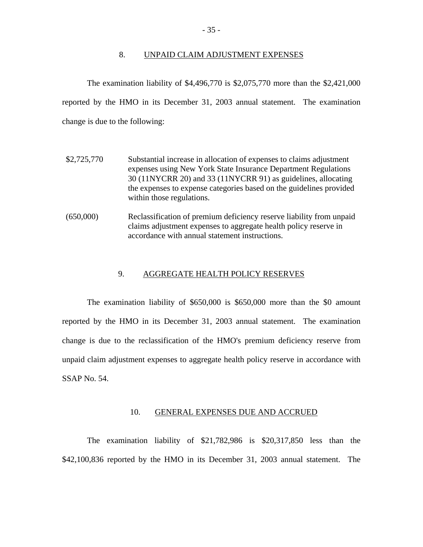#### 8. UNPAID CLAIM ADJUSTMENT EXPENSES

The examination liability of \$4,496,770 is \$2,075,770 more than the \$2,421,000 reported by the HMO in its December 31, 2003 annual statement. The examination change is due to the following:

- \$2,725,770 Substantial increase in allocation of expenses to claims adjustment expenses using New York State Insurance Department Regulations 30 (11NYCRR 20) and 33 (11NYCRR 91) as guidelines, allocating the expenses to expense categories based on the guidelines provided within those regulations.
- (650,000) Reclassification of premium deficiency reserve liability from unpaid claims adjustment expenses to aggregate health policy reserve in accordance with annual statement instructions.

#### 9. AGGREGATE HEALTH POLICY RESERVES

The examination liability of \$650,000 is \$650,000 more than the \$0 amount reported by the HMO in its December 31, 2003 annual statement. The examination change is due to the reclassification of the HMO's premium deficiency reserve from unpaid claim adjustment expenses to aggregate health policy reserve in accordance with SSAP No. 54.

#### 10. GENERAL EXPENSES DUE AND ACCRUED

The examination liability of \$21,782,986 is \$20,317,850 less than the \$42,100,836 reported by the HMO in its December 31, 2003 annual statement. The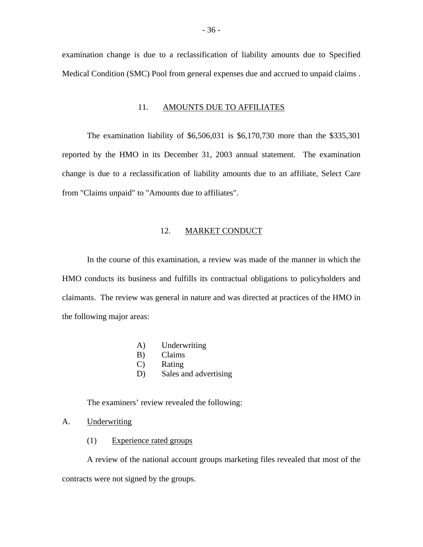examination change is due to a reclassification of liability amounts due to Specified Medical Condition (SMC) Pool from general expenses due and accrued to unpaid claims .

#### 11. AMOUNTS DUE TO AFFILIATES

The examination liability of \$6,506,031 is \$6,170,730 more than the \$335,301 reported by the HMO in its December 31, 2003 annual statement. The examination change is due to a reclassification of liability amounts due to an affiliate, Select Care from "Claims unpaid" to "Amounts due to affiliates".

#### 12. MARKET CONDUCT

In the course of this examination, a review was made of the manner in which the HMO conducts its business and fulfills its contractual obligations to policyholders and claimants. The review was general in nature and was directed at practices of the HMO in the following major areas:

- A) Underwriting
- B) Claims
- C) Rating
- D) Sales and advertising

The examiners' review revealed the following:

- A. Underwriting
	- (1) Experience rated groups

A review of the national account groups marketing files revealed that most of the contracts were not signed by the groups.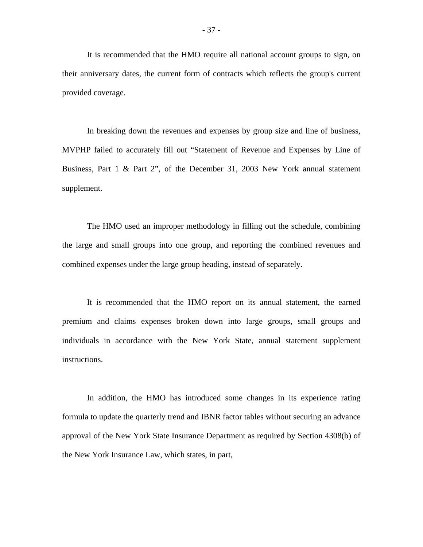It is recommended that the HMO require all national account groups to sign, on their anniversary dates, the current form of contracts which reflects the group's current provided coverage.

In breaking down the revenues and expenses by group size and line of business, MVPHP failed to accurately fill out "Statement of Revenue and Expenses by Line of Business, Part 1 & Part 2", of the December 31, 2003 New York annual statement supplement.

The HMO used an improper methodology in filling out the schedule, combining the large and small groups into one group, and reporting the combined revenues and combined expenses under the large group heading, instead of separately.

It is recommended that the HMO report on its annual statement, the earned premium and claims expenses broken down into large groups, small groups and individuals in accordance with the New York State, annual statement supplement instructions.

In addition, the HMO has introduced some changes in its experience rating formula to update the quarterly trend and IBNR factor tables without securing an advance approval of the New York State Insurance Department as required by Section 4308(b) of the New York Insurance Law, which states, in part,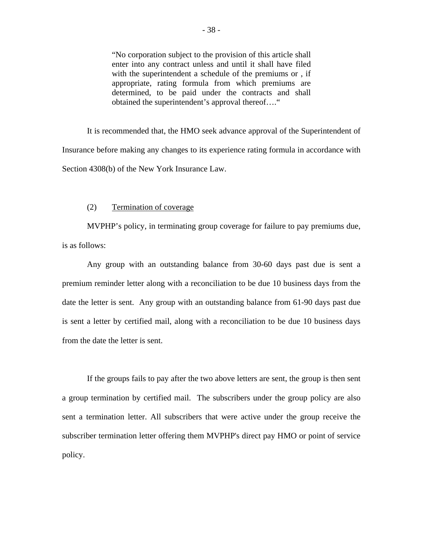"No corporation subject to the provision of this article shall enter into any contract unless and until it shall have filed with the superintendent a schedule of the premiums or , if appropriate, rating formula from which premiums are determined, to be paid under the contracts and shall obtained the superintendent's approval thereof…."

It is recommended that, the HMO seek advance approval of the Superintendent of Insurance before making any changes to its experience rating formula in accordance with Section 4308(b) of the New York Insurance Law.

#### (2) Termination of coverage

MVPHP's policy, in terminating group coverage for failure to pay premiums due, is as follows:

Any group with an outstanding balance from 30-60 days past due is sent a premium reminder letter along with a reconciliation to be due 10 business days from the date the letter is sent. Any group with an outstanding balance from 61-90 days past due is sent a letter by certified mail, along with a reconciliation to be due 10 business days from the date the letter is sent.

If the groups fails to pay after the two above letters are sent, the group is then sent a group termination by certified mail. The subscribers under the group policy are also sent a termination letter. All subscribers that were active under the group receive the subscriber termination letter offering them MVPHP's direct pay HMO or point of service policy.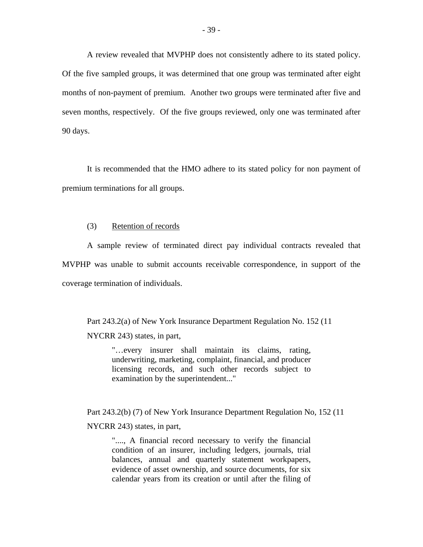A review revealed that MVPHP does not consistently adhere to its stated policy. Of the five sampled groups, it was determined that one group was terminated after eight months of non-payment of premium. Another two groups were terminated after five and seven months, respectively. Of the five groups reviewed, only one was terminated after 90 days.

It is recommended that the HMO adhere to its stated policy for non payment of premium terminations for all groups.

#### (3) Retention of records

A sample review of terminated direct pay individual contracts revealed that MVPHP was unable to submit accounts receivable correspondence, in support of the coverage termination of individuals.

Part 243.2(a) of New York Insurance Department Regulation No. 152 (11 NYCRR 243) states, in part,

> "…every insurer shall maintain its claims, rating, underwriting, marketing, complaint, financial, and producer licensing records, and such other records subject to examination by the superintendent..."

Part 243.2(b) (7) of New York Insurance Department Regulation No, 152 (11 NYCRR 243) states, in part,

"...., A financial record necessary to verify the financial condition of an insurer, including ledgers, journals, trial balances, annual and quarterly statement workpapers, evidence of asset ownership, and source documents, for six calendar years from its creation or until after the filing of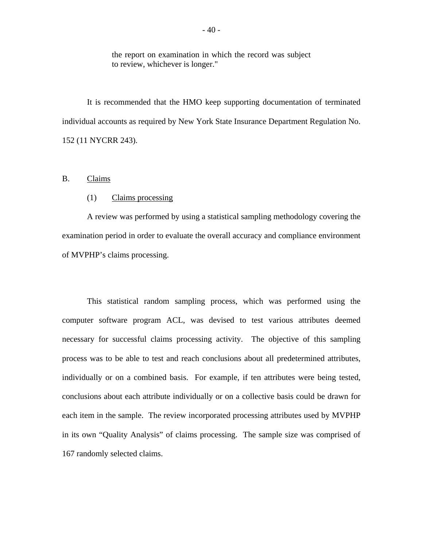the report on examination in which the record was subject to review, whichever is longer."

It is recommended that the HMO keep supporting documentation of terminated individual accounts as required by New York State Insurance Department Regulation No. 152 (11 NYCRR 243).

#### B. Claims

#### (1) Claims processing

A review was performed by using a statistical sampling methodology covering the examination period in order to evaluate the overall accuracy and compliance environment of MVPHP's claims processing.

This statistical random sampling process, which was performed using the computer software program ACL, was devised to test various attributes deemed necessary for successful claims processing activity. The objective of this sampling process was to be able to test and reach conclusions about all predetermined attributes, individually or on a combined basis. For example, if ten attributes were being tested, conclusions about each attribute individually or on a collective basis could be drawn for each item in the sample. The review incorporated processing attributes used by MVPHP in its own "Quality Analysis" of claims processing. The sample size was comprised of 167 randomly selected claims.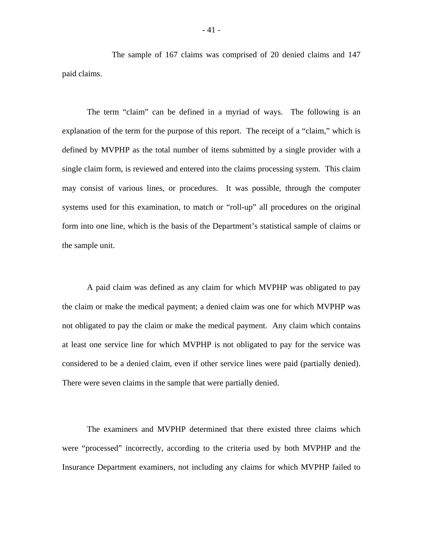The sample of 167 claims was comprised of 20 denied claims and 147 paid claims.

The term "claim" can be defined in a myriad of ways. The following is an explanation of the term for the purpose of this report. The receipt of a "claim," which is defined by MVPHP as the total number of items submitted by a single provider with a single claim form, is reviewed and entered into the claims processing system. This claim may consist of various lines, or procedures. It was possible, through the computer systems used for this examination, to match or "roll-up" all procedures on the original form into one line, which is the basis of the Department's statistical sample of claims or the sample unit.

A paid claim was defined as any claim for which MVPHP was obligated to pay the claim or make the medical payment; a denied claim was one for which MVPHP was not obligated to pay the claim or make the medical payment. Any claim which contains at least one service line for which MVPHP is not obligated to pay for the service was considered to be a denied claim, even if other service lines were paid (partially denied). There were seven claims in the sample that were partially denied.

The examiners and MVPHP determined that there existed three claims which were "processed" incorrectly, according to the criteria used by both MVPHP and the Insurance Department examiners, not including any claims for which MVPHP failed to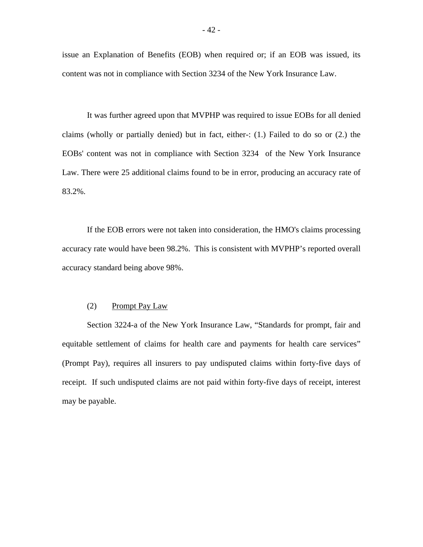issue an Explanation of Benefits (EOB) when required or; if an EOB was issued, its content was not in compliance with Section 3234 of the New York Insurance Law.

It was further agreed upon that MVPHP was required to issue EOBs for all denied claims (wholly or partially denied) but in fact, either-: (1.) Failed to do so or (2.) the EOBs' content was not in compliance with Section 3234 of the New York Insurance Law. There were 25 additional claims found to be in error, producing an accuracy rate of 83.2%.

If the EOB errors were not taken into consideration, the HMO's claims processing accuracy rate would have been 98.2%. This is consistent with MVPHP's reported overall accuracy standard being above 98%.

#### (2) Prompt Pay Law

Section 3224-a of the New York Insurance Law, "Standards for prompt, fair and equitable settlement of claims for health care and payments for health care services" (Prompt Pay), requires all insurers to pay undisputed claims within forty-five days of receipt. If such undisputed claims are not paid within forty-five days of receipt, interest may be payable.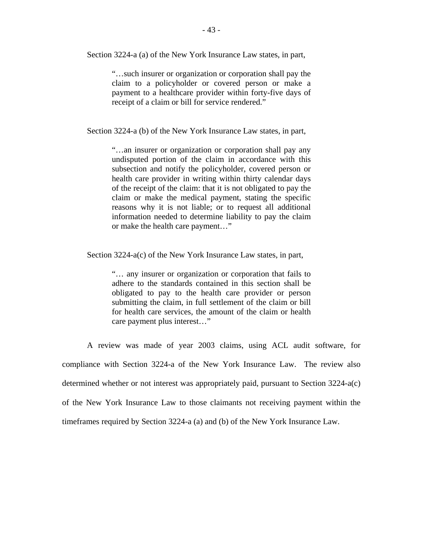Section 3224-a (a) of the New York Insurance Law states, in part,

"…such insurer or organization or corporation shall pay the claim to a policyholder or covered person or make a payment to a healthcare provider within forty-five days of receipt of a claim or bill for service rendered."

Section 3224-a (b) of the New York Insurance Law states, in part,

"…an insurer or organization or corporation shall pay any undisputed portion of the claim in accordance with this subsection and notify the policyholder, covered person or health care provider in writing within thirty calendar days of the receipt of the claim: that it is not obligated to pay the claim or make the medical payment, stating the specific reasons why it is not liable; or to request all additional information needed to determine liability to pay the claim or make the health care payment…"

Section 3224-a(c) of the New York Insurance Law states, in part,

"… any insurer or organization or corporation that fails to adhere to the standards contained in this section shall be obligated to pay to the health care provider or person submitting the claim, in full settlement of the claim or bill for health care services, the amount of the claim or health care payment plus interest…"

A review was made of year 2003 claims, using ACL audit software, for compliance with Section 3224-a of the New York Insurance Law. The review also determined whether or not interest was appropriately paid, pursuant to Section 3224-a(c) of the New York Insurance Law to those claimants not receiving payment within the timeframes required by Section 3224-a (a) and (b) of the New York Insurance Law.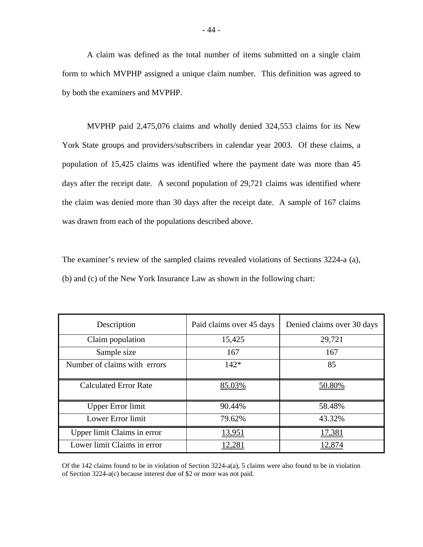A claim was defined as the total number of items submitted on a single claim form to which MVPHP assigned a unique claim number. This definition was agreed to by both the examiners and MVPHP.

MVPHP paid 2,475,076 claims and wholly denied 324,553 claims for its New York State groups and providers/subscribers in calendar year 2003. Of these claims, a population of 15,425 claims was identified where the payment date was more than 45 days after the receipt date. A second population of 29,721 claims was identified where the claim was denied more than 30 days after the receipt date. A sample of 167 claims was drawn from each of the populations described above.

The examiner's review of the sampled claims revealed violations of Sections 3224-a (a), (b) and (c) of the New York Insurance Law as shown in the following chart:

| Description                  | Paid claims over 45 days | Denied claims over 30 days |
|------------------------------|--------------------------|----------------------------|
| Claim population             | 15,425                   | 29,721                     |
| Sample size                  | 167                      | 167                        |
| Number of claims with errors | $142*$                   | 85                         |
| <b>Calculated Error Rate</b> | 85.03%                   | 50.80%                     |
| <b>Upper Error limit</b>     | 90.44%                   | 58.48%                     |
| Lower Error limit            | 79.62%                   | 43.32%                     |
| Upper limit Claims in error  | 13,951                   | 17,381                     |
| Lower limit Claims in error  | 12,28                    |                            |

 Of the 142 claims found to be in violation of Section 3224-a(a), 5 claims were also found to be in violation of Section 3224-a(c) because interest due of \$2 or more was not paid.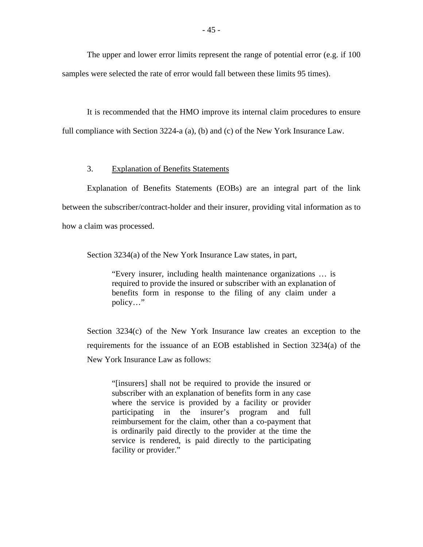The upper and lower error limits represent the range of potential error (e.g. if 100 samples were selected the rate of error would fall between these limits 95 times).

It is recommended that the HMO improve its internal claim procedures to ensure full compliance with Section 3224-a (a), (b) and (c) of the New York Insurance Law.

#### 3. Explanation of Benefits Statements

Explanation of Benefits Statements (EOBs) are an integral part of the link between the subscriber/contract-holder and their insurer, providing vital information as to how a claim was processed.

Section 3234(a) of the New York Insurance Law states, in part,

"Every insurer, including health maintenance organizations … is required to provide the insured or subscriber with an explanation of benefits form in response to the filing of any claim under a policy…"

Section 3234(c) of the New York Insurance law creates an exception to the requirements for the issuance of an EOB established in Section 3234(a) of the New York Insurance Law as follows:

"[insurers] shall not be required to provide the insured or subscriber with an explanation of benefits form in any case where the service is provided by a facility or provider participating in the insurer's program and full reimbursement for the claim, other than a co-payment that is ordinarily paid directly to the provider at the time the service is rendered, is paid directly to the participating facility or provider."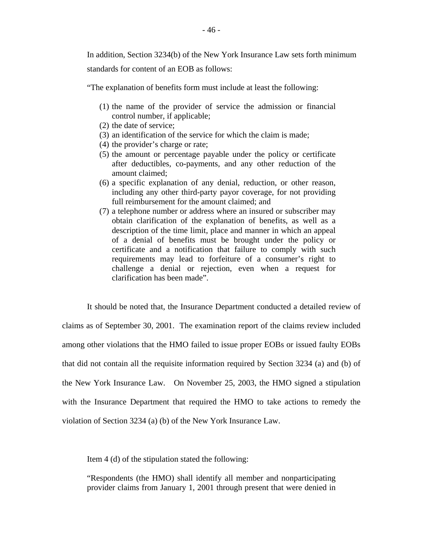In addition, Section 3234(b) of the New York Insurance Law sets forth minimum standards for content of an EOB as follows:

"The explanation of benefits form must include at least the following:

- (1) the name of the provider of service the admission or financial control number, if applicable;
- (2) the date of service;
- (3) an identification of the service for which the claim is made;
- (4) the provider's charge or rate;
- (5) the amount or percentage payable under the policy or certificate after deductibles, co-payments, and any other reduction of the amount claimed;
- (6) a specific explanation of any denial, reduction, or other reason, including any other third-party payor coverage, for not providing full reimbursement for the amount claimed; and
- (7) a telephone number or address where an insured or subscriber may obtain clarification of the explanation of benefits, as well as a description of the time limit, place and manner in which an appeal of a denial of benefits must be brought under the policy or certificate and a notification that failure to comply with such requirements may lead to forfeiture of a consumer's right to challenge a denial or rejection, even when a request for clarification has been made".

It should be noted that, the Insurance Department conducted a detailed review of claims as of September 30, 2001. The examination report of the claims review included among other violations that the HMO failed to issue proper EOBs or issued faulty EOBs that did not contain all the requisite information required by Section 3234 (a) and (b) of the New York Insurance Law. On November 25, 2003, the HMO signed a stipulation with the Insurance Department that required the HMO to take actions to remedy the violation of Section 3234 (a) (b) of the New York Insurance Law.

Item 4 (d) of the stipulation stated the following:

"Respondents (the HMO) shall identify all member and nonparticipating provider claims from January 1, 2001 through present that were denied in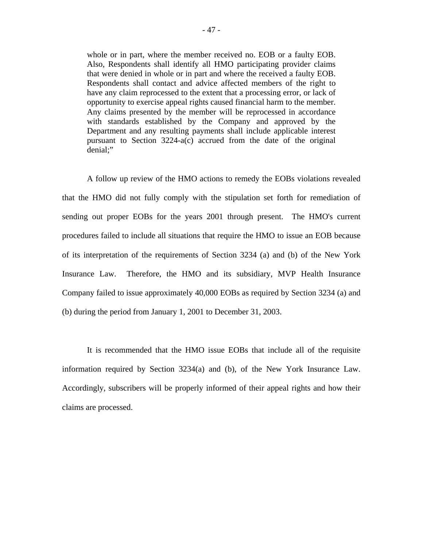whole or in part, where the member received no. EOB or a faulty EOB. Also, Respondents shall identify all HMO participating provider claims that were denied in whole or in part and where the received a faulty EOB. Respondents shall contact and advice affected members of the right to have any claim reprocessed to the extent that a processing error, or lack of opportunity to exercise appeal rights caused financial harm to the member. Any claims presented by the member will be reprocessed in accordance with standards established by the Company and approved by the Department and any resulting payments shall include applicable interest pursuant to Section 3224-a(c) accrued from the date of the original denial;"

A follow up review of the HMO actions to remedy the EOBs violations revealed that the HMO did not fully comply with the stipulation set forth for remediation of sending out proper EOBs for the years 2001 through present. The HMO's current procedures failed to include all situations that require the HMO to issue an EOB because of its interpretation of the requirements of Section 3234 (a) and (b) of the New York Insurance Law. Therefore, the HMO and its subsidiary, MVP Health Insurance Company failed to issue approximately 40,000 EOBs as required by Section 3234 (a) and (b) during the period from January 1, 2001 to December 31, 2003.

It is recommended that the HMO issue EOBs that include all of the requisite information required by Section 3234(a) and (b), of the New York Insurance Law. Accordingly, subscribers will be properly informed of their appeal rights and how their claims are processed.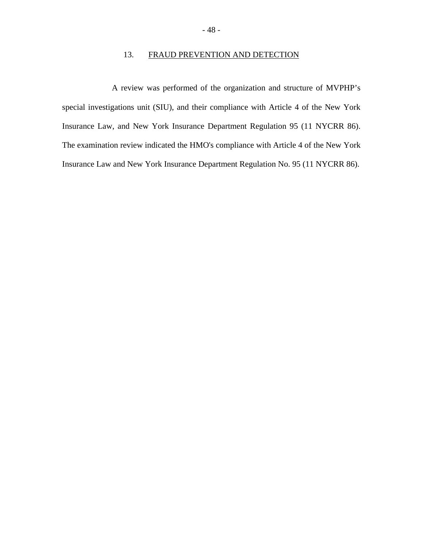### 13. FRAUD PREVENTION AND DETECTION

A review was performed of the organization and structure of MVPHP's special investigations unit (SIU), and their compliance with Article 4 of the New York Insurance Law, and New York Insurance Department Regulation 95 (11 NYCRR 86). The examination review indicated the HMO's compliance with Article 4 of the New York Insurance Law and New York Insurance Department Regulation No. 95 (11 NYCRR 86).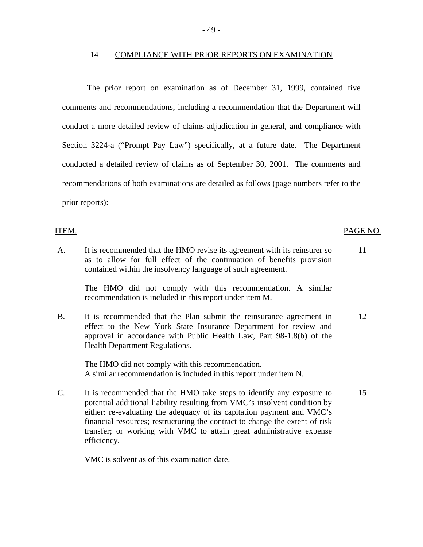#### 14 COMPLIANCE WITH PRIOR REPORTS ON EXAMINATION

The prior report on examination as of December 31, 1999, contained five comments and recommendations, including a recommendation that the Department will conduct a more detailed review of claims adjudication in general, and compliance with Section 3224-a ("Prompt Pay Law") specifically, at a future date. The Department conducted a detailed review of claims as of September 30, 2001. The comments and recommendations of both examinations are detailed as follows (page numbers refer to the prior reports):

#### ITEM.

A. It is recommended that the HMO revise its agreement with its reinsurer so 11 as to allow for full effect of the continuation of benefits provision contained within the insolvency language of such agreement.

The HMO did not comply with this recommendation. A similar recommendation is included in this report under item M.

B. It is recommended that the Plan submit the reinsurance agreement in 12 effect to the New York State Insurance Department for review and approval in accordance with Public Health Law, Part 98-1.8(b) of the Health Department Regulations.

The HMO did not comply with this recommendation. A similar recommendation is included in this report under item N.

C. It is recommended that the HMO take steps to identify any exposure to 15 potential additional liability resulting from VMC's insolvent condition by either: re-evaluating the adequacy of its capitation payment and VMC's financial resources; restructuring the contract to change the extent of risk transfer; or working with VMC to attain great administrative expense efficiency.

VMC is solvent as of this examination date.

#### PAGE NO.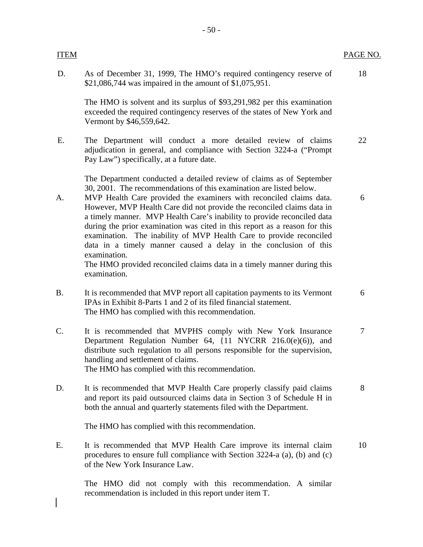| <b>ITEM</b>     |                                                                                                                                                                                                                                                                                                                                                                                                                                                                                                                                                                                                                                                                                                            | PAGE NO.       |
|-----------------|------------------------------------------------------------------------------------------------------------------------------------------------------------------------------------------------------------------------------------------------------------------------------------------------------------------------------------------------------------------------------------------------------------------------------------------------------------------------------------------------------------------------------------------------------------------------------------------------------------------------------------------------------------------------------------------------------------|----------------|
| D.              | As of December 31, 1999, The HMO's required contingency reserve of<br>\$21,086,744 was impaired in the amount of \$1,075,951.                                                                                                                                                                                                                                                                                                                                                                                                                                                                                                                                                                              | 18             |
|                 | The HMO is solvent and its surplus of \$93,291,982 per this examination<br>exceeded the required contingency reserves of the states of New York and<br>Vermont by \$46,559,642.                                                                                                                                                                                                                                                                                                                                                                                                                                                                                                                            |                |
| Ε.              | The Department will conduct a more detailed review of claims<br>adjudication in general, and compliance with Section 3224-a ("Prompt<br>Pay Law") specifically, at a future date.                                                                                                                                                                                                                                                                                                                                                                                                                                                                                                                          | 22             |
| A.              | The Department conducted a detailed review of claims as of September<br>30, 2001. The recommendations of this examination are listed below.<br>MVP Health Care provided the examiners with reconciled claims data.<br>However, MVP Health Care did not provide the reconciled claims data in<br>a timely manner. MVP Health Care's inability to provide reconciled data<br>during the prior examination was cited in this report as a reason for this<br>examination. The inability of MVP Health Care to provide reconciled<br>data in a timely manner caused a delay in the conclusion of this<br>examination.<br>The HMO provided reconciled claims data in a timely manner during this<br>examination. | 6              |
| <b>B.</b>       | It is recommended that MVP report all capitation payments to its Vermont<br>IPAs in Exhibit 8-Parts 1 and 2 of its filed financial statement.<br>The HMO has complied with this recommendation.                                                                                                                                                                                                                                                                                                                                                                                                                                                                                                            | 6              |
| $\mathcal{C}$ . | It is recommended that MVPHS comply with New York Insurance<br>Department Regulation Number 64, {11 NYCRR 216.0(e)(6)), and<br>distribute such regulation to all persons responsible for the supervision,<br>handling and settlement of claims.<br>The HMO has complied with this recommendation.                                                                                                                                                                                                                                                                                                                                                                                                          | $\overline{7}$ |
| D.              | It is recommended that MVP Health Care properly classify paid claims<br>and report its paid outsourced claims data in Section 3 of Schedule H in<br>both the annual and quarterly statements filed with the Department.                                                                                                                                                                                                                                                                                                                                                                                                                                                                                    | 8              |
|                 | The HMO has complied with this recommendation.                                                                                                                                                                                                                                                                                                                                                                                                                                                                                                                                                                                                                                                             |                |
| E.              | It is recommended that MVP Health Care improve its internal claim<br>procedures to ensure full compliance with Section 3224-a (a), (b) and (c)<br>of the New York Insurance Law.                                                                                                                                                                                                                                                                                                                                                                                                                                                                                                                           | 10             |
|                 | The HMO did not comply with this recommendation. A similar<br>recommendation is included in this report under item T.                                                                                                                                                                                                                                                                                                                                                                                                                                                                                                                                                                                      |                |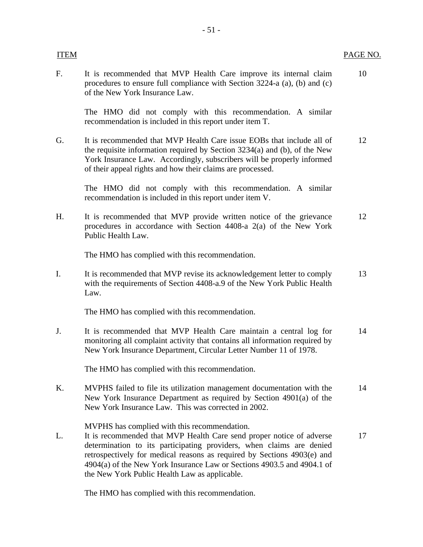| <b>ITEM</b> |                                                                                                                                                                                                                                                                                                                                                                                                    | PAGE NO. |
|-------------|----------------------------------------------------------------------------------------------------------------------------------------------------------------------------------------------------------------------------------------------------------------------------------------------------------------------------------------------------------------------------------------------------|----------|
| F.          | It is recommended that MVP Health Care improve its internal claim<br>procedures to ensure full compliance with Section 3224-a (a), (b) and (c)<br>of the New York Insurance Law.                                                                                                                                                                                                                   | 10       |
|             | The HMO did not comply with this recommendation. A similar<br>recommendation is included in this report under item T.                                                                                                                                                                                                                                                                              |          |
| G.          | It is recommended that MVP Health Care issue EOBs that include all of<br>the requisite information required by Section 3234(a) and (b), of the New<br>York Insurance Law. Accordingly, subscribers will be properly informed<br>of their appeal rights and how their claims are processed.                                                                                                         | 12       |
|             | The HMO did not comply with this recommendation. A similar<br>recommendation is included in this report under item V.                                                                                                                                                                                                                                                                              |          |
| Η.          | It is recommended that MVP provide written notice of the grievance<br>procedures in accordance with Section 4408-a 2(a) of the New York<br>Public Health Law.                                                                                                                                                                                                                                      | 12       |
|             | The HMO has complied with this recommendation.                                                                                                                                                                                                                                                                                                                                                     |          |
| I.          | It is recommended that MVP revise its acknowledgement letter to comply<br>with the requirements of Section 4408-a.9 of the New York Public Health<br>Law.                                                                                                                                                                                                                                          | 13       |
|             | The HMO has complied with this recommendation.                                                                                                                                                                                                                                                                                                                                                     |          |
| J.          | It is recommended that MVP Health Care maintain a central log for<br>monitoring all complaint activity that contains all information required by<br>New York Insurance Department, Circular Letter Number 11 of 1978.                                                                                                                                                                              | 14       |
|             | The HMO has complied with this recommendation.                                                                                                                                                                                                                                                                                                                                                     |          |
| K.          | MVPHS failed to file its utilization management documentation with the<br>New York Insurance Department as required by Section 4901(a) of the<br>New York Insurance Law. This was corrected in 2002.                                                                                                                                                                                               | 14       |
| L.          | MVPHS has complied with this recommendation.<br>It is recommended that MVP Health Care send proper notice of adverse<br>determination to its participating providers, when claims are denied<br>retrospectively for medical reasons as required by Sections 4903(e) and<br>4904(a) of the New York Insurance Law or Sections 4903.5 and 4904.1 of<br>the New York Public Health Law as applicable. | 17       |

The HMO has complied with this recommendation.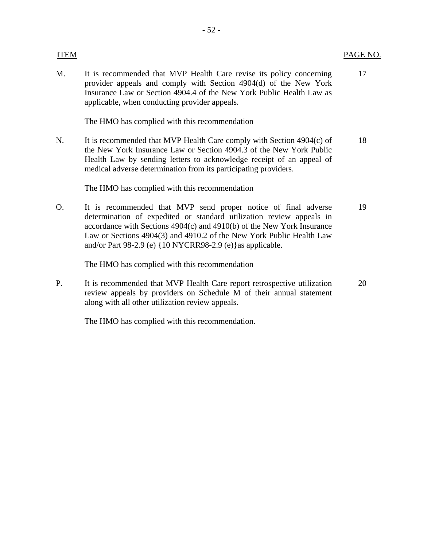- 52 -

The HMO has complied with this recommendation

N. It is recommended that MVP Health Care comply with Section 4904(c) of 18 the New York Insurance Law or Section 4904.3 of the New York Public Health Law by sending letters to acknowledge receipt of an appeal of medical adverse determination from its participating providers.

The HMO has complied with this recommendation

O. It is recommended that MVP send proper notice of final adverse 19 determination of expedited or standard utilization review appeals in accordance with Sections 4904(c) and 4910(b) of the New York Insurance Law or Sections 4904(3) and 4910.2 of the New York Public Health Law and/or Part 98-2.9 (e) {10 NYCRR98-2.9 (e)}as applicable.

The HMO has complied with this recommendation

P. It is recommended that MVP Health Care report retrospective utilization 20 review appeals by providers on Schedule M of their annual statement along with all other utilization review appeals.

The HMO has complied with this recommendation.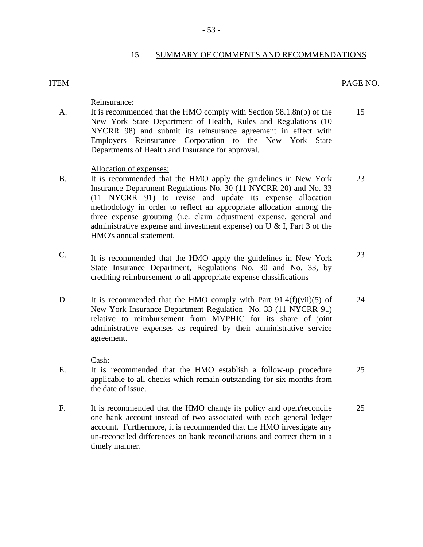#### 15. SUMMARY OF COMMENTS AND RECOMMENDATIONS

#### **ITEM**

#### PAGE NO.

Reinsurance:

- A. It is recommended that the HMO comply with Section 98.1.8n(b) of the 15 New York State Department of Health, Rules and Regulations (10 NYCRR 98) and submit its reinsurance agreement in effect with Employers Reinsurance Corporation to the New York State Departments of Health and Insurance for approval.
	- Allocation of expenses:
- B. It is recommended that the HMO apply the guidelines in New York 23 Insurance Department Regulations No. 30 (11 NYCRR 20) and No. 33 (11 NYCRR 91) to revise and update its expense allocation methodology in order to reflect an appropriate allocation among the three expense grouping (i.e. claim adjustment expense, general and administrative expense and investment expense) on U & I, Part 3 of the HMO's annual statement.
- C. It is recommended that the HMO apply the guidelines in New York  $23$ State Insurance Department, Regulations No. 30 and No. 33, by crediting reimbursement to all appropriate expense classifications
- D. It is recommended that the HMO comply with Part 91.4(f)(vii)(5) of 24 New York Insurance Department Regulation No. 33 (11 NYCRR 91) relative to reimbursement from MVPHIC for its share of joint administrative expenses as required by their administrative service agreement.

Cash:

- E. It is recommended that the HMO establish a follow-up procedure 25 applicable to all checks which remain outstanding for six months from the date of issue.
- F. It is recommended that the HMO change its policy and open/reconcile 25 one bank account instead of two associated with each general ledger account. Furthermore, it is recommended that the HMO investigate any un-reconciled differences on bank reconciliations and correct them in a timely manner.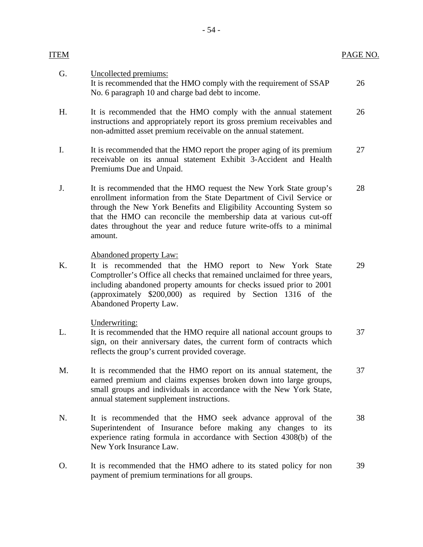| ITEM |                                                                                                                                                                                                                                                                                                                                                                        | PAGE NO. |
|------|------------------------------------------------------------------------------------------------------------------------------------------------------------------------------------------------------------------------------------------------------------------------------------------------------------------------------------------------------------------------|----------|
| G.   | Uncollected premiums:<br>It is recommended that the HMO comply with the requirement of SSAP<br>No. 6 paragraph 10 and charge bad debt to income.                                                                                                                                                                                                                       | 26       |
| H.   | It is recommended that the HMO comply with the annual statement<br>instructions and appropriately report its gross premium receivables and<br>non-admitted asset premium receivable on the annual statement.                                                                                                                                                           | 26       |
| I.   | It is recommended that the HMO report the proper aging of its premium<br>receivable on its annual statement Exhibit 3-Accident and Health<br>Premiums Due and Unpaid.                                                                                                                                                                                                  | 27       |
| J.   | It is recommended that the HMO request the New York State group's<br>enrollment information from the State Department of Civil Service or<br>through the New York Benefits and Eligibility Accounting System so<br>that the HMO can reconcile the membership data at various cut-off<br>dates throughout the year and reduce future write-offs to a minimal<br>amount. | 28       |
| Κ.   | <b>Abandoned property Law:</b><br>It is recommended that the HMO report to New York State<br>Comptroller's Office all checks that remained unclaimed for three years,<br>including abandoned property amounts for checks issued prior to 2001<br>(approximately \$200,000) as required by Section 1316 of the<br>Abandoned Property Law.                               | 29       |
| L.   | Underwriting:<br>It is recommended that the HMO require all national account groups to<br>sign, on their anniversary dates, the current form of contracts which<br>reflects the group's current provided coverage.                                                                                                                                                     | 37       |
| M.   | It is recommended that the HMO report on its annual statement, the<br>earned premium and claims expenses broken down into large groups,<br>small groups and individuals in accordance with the New York State,<br>annual statement supplement instructions.                                                                                                            | 37       |
| N.   | It is recommended that the HMO seek advance approval of the<br>Superintendent of Insurance before making any changes to its<br>experience rating formula in accordance with Section 4308(b) of the<br>New York Insurance Law.                                                                                                                                          | 38       |
| Ο.   | It is recommended that the HMO adhere to its stated policy for non<br>payment of premium terminations for all groups.                                                                                                                                                                                                                                                  | 39       |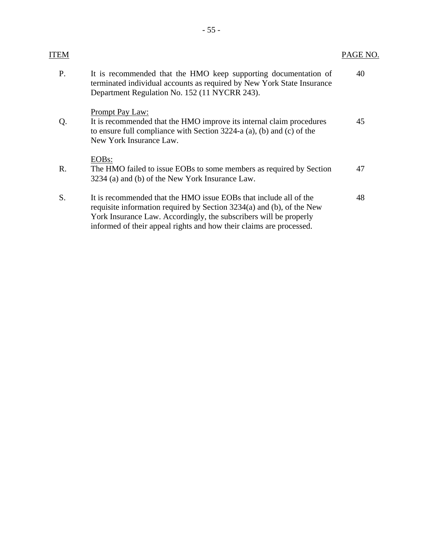| ITEM |                                                                                                                                                                                                                                                                                        | PAGE NO. |
|------|----------------------------------------------------------------------------------------------------------------------------------------------------------------------------------------------------------------------------------------------------------------------------------------|----------|
| P.   | It is recommended that the HMO keep supporting documentation of<br>terminated individual accounts as required by New York State Insurance<br>Department Regulation No. 152 (11 NYCRR 243).                                                                                             | 40       |
| Q.   | Prompt Pay Law:<br>It is recommended that the HMO improve its internal claim procedures<br>to ensure full compliance with Section $3224-a$ (a), (b) and (c) of the<br>New York Insurance Law.                                                                                          | 45       |
| R.   | EOB <sub>s</sub> :<br>The HMO failed to issue EOBs to some members as required by Section<br>3234 (a) and (b) of the New York Insurance Law.                                                                                                                                           | 47       |
| S.   | It is recommended that the HMO issue EOBs that include all of the<br>requisite information required by Section 3234(a) and (b), of the New<br>York Insurance Law. Accordingly, the subscribers will be properly<br>informed of their appeal rights and how their claims are processed. | 48       |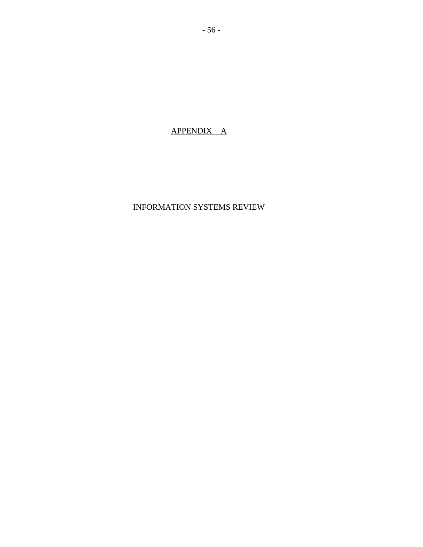### APPENDIX A

### INFORMATION SYSTEMS REVIEW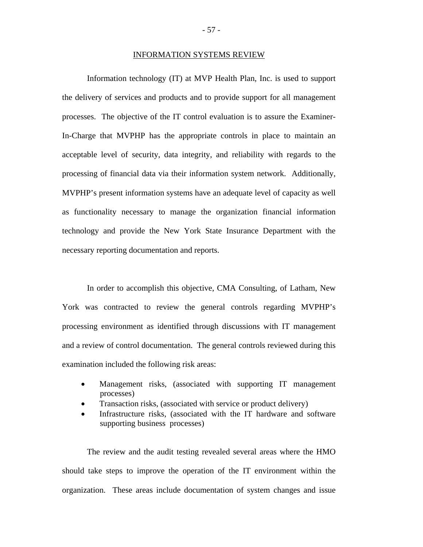#### INFORMATION SYSTEMS REVIEW

Information technology (IT) at MVP Health Plan, Inc. is used to support the delivery of services and products and to provide support for all management processes. The objective of the IT control evaluation is to assure the Examiner-In-Charge that MVPHP has the appropriate controls in place to maintain an acceptable level of security, data integrity, and reliability with regards to the processing of financial data via their information system network. Additionally, MVPHP's present information systems have an adequate level of capacity as well as functionality necessary to manage the organization financial information technology and provide the New York State Insurance Department with the necessary reporting documentation and reports.

In order to accomplish this objective, CMA Consulting, of Latham, New York was contracted to review the general controls regarding MVPHP's processing environment as identified through discussions with IT management and a review of control documentation. The general controls reviewed during this examination included the following risk areas:

- Management risks, (associated with supporting IT management processes)
- Transaction risks, (associated with service or product delivery)
- Infrastructure risks, (associated with the IT hardware and software supporting business processes)

The review and the audit testing revealed several areas where the HMO should take steps to improve the operation of the IT environment within the organization. These areas include documentation of system changes and issue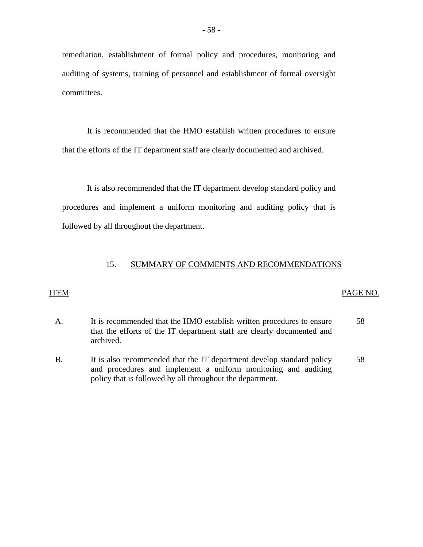remediation, establishment of formal policy and procedures, monitoring and auditing of systems, training of personnel and establishment of formal oversight committees.

It is recommended that the HMO establish written procedures to ensure that the efforts of the IT department staff are clearly documented and archived.

It is also recommended that the IT department develop standard policy and procedures and implement a uniform monitoring and auditing policy that is followed by all throughout the department.

#### 15. SUMMARY OF COMMENTS AND RECOMMENDATIONS

#### **ITEM**

#### ITEM PAGE NO.

- A. It is recommended that the HMO establish written procedures to ensure that the efforts of the IT department staff are clearly documented and archived. 58
- B. It is also recommended that the IT department develop standard policy and procedures and implement a uniform monitoring and auditing policy that is followed by all throughout the department. 58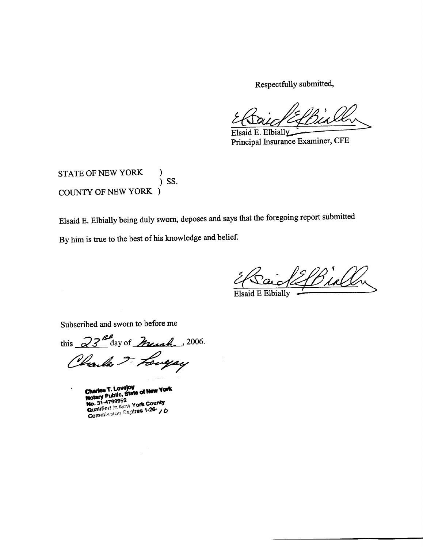Respectfully submitted,

Elsaid E. Elbially

Principal Insurance Examiner, CFE

STATE OF NEW YORK  $)$  SS. COUNTY OF NEW YORK )

Elsaid E. Elbially being duly sworn, deposes and says that the foregoing report submitted By him is true to the best of his knowledge and belief.

<u> 2f Bioll</u>

**Elsaid E Elbially** 

Subscribed and sworn to before me

this  $23^{B}$  day of Muscle, 2006. Charles F. Longay

**Charles T. Loveloy<br>Notary Public, State of New York Notary Public, State of the Model Washington County**<br>**Qualified in New York County**<br>**Qualified in New York County**